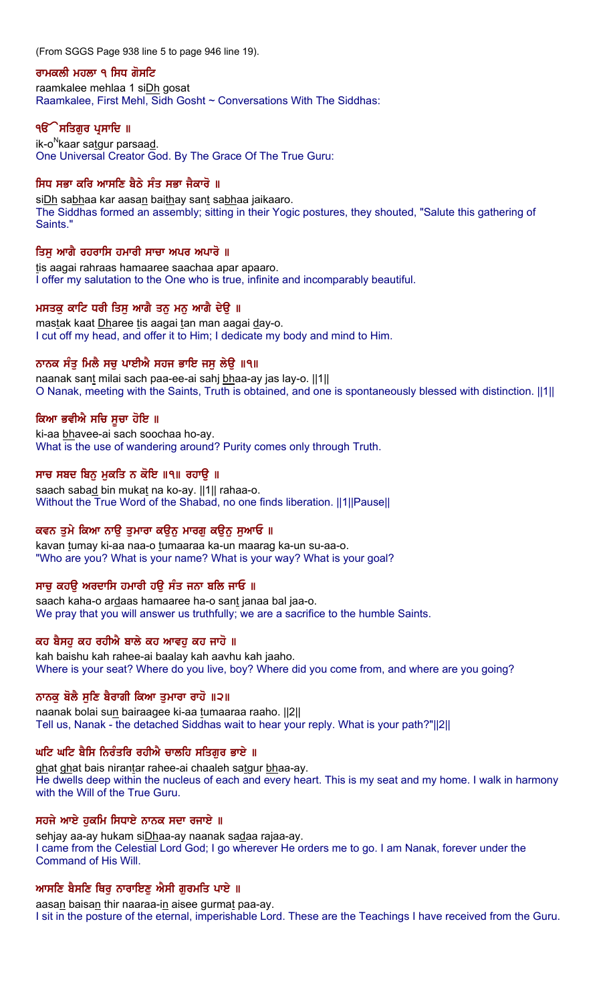(From SGGS Page 938 line 5 to page 946 line 19).

### ਰਾਮਕਲੀ ਮਹਲਾ ੧ ਸਿਧ ਗੋਸਟਿ

raamkalee mehlaa 1 siDh gosat Raamkalee, First Mehl, Sidh Gosht ~ Conversations With The Siddhas:

## ੧**ੳੇਸਤਿਗੁਰ ਪ੍ਰਸਾਦਿ** ॥

 $ik$ -o<sup>N</sup>kaar satgur parsaad. One Universal Creator God. By The Grace Of The True Guru:

## ਸਿਧ ਸਭਾ ਕਰਿ ਆਸਣਿ ਬੈਠੇ ਸੰਤ ਸਭਾ ਜੈਕਾਰੋ ॥

siDh sabhaa kar aasan baithay sant sabhaa jaikaaro. The Siddhas formed an assembly; sitting in their Yogic postures, they shouted, "Salute this gathering of Saints."

## ਤਿਸ ਆਗੈ ਰਹਰਾਸਿ ਹਮਾਰੀ ਸਾਚਾ ਅਪਰ ਅਪਾਰੋ ॥

tis aagai rahraas hamaaree saachaa apar apaaro. I offer my salutation to the One who is true, infinite and incomparably beautiful.

## ਮਸਤਕੂ ਕਾਟਿ ਧਰੀ ਤਿਸੂ ਆਗੈ ਤਨੂ ਮਨੂ ਆਗੈ ਦੇਉ ॥

mastak kaat Dharee tis aagai tan man aagai day-o. I cut off my head, and offer it to Him; I dedicate my body and mind to Him.

## ਨਾਨਕ ਸੰਤੁ ਮਿਲੈ ਸਚੁ ਪਾਈਐ ਸਹਜ ਭਾਇ ਜਸੁ ਲੇਉ ॥੧॥

naanak sant milai sach paa-ee-ai sahj bhaa-ay jas lay-o. [11] O Nanak, meeting with the Saints, Truth is obtained, and one is spontaneously blessed with distinction. ||1||

## ਕਿਆ ਭਵੀਐ ਸਚਿ ਸੁਚਾ ਹੋਇ ॥

ki-aa bhavee-ai sach soochaa ho-ay. What is the use of wandering around? Purity comes only through Truth.

## ਸਾਚ ਸਬਦ ਬਿਨੁ ਮੁਕਤਿ ਨ ਕੋਇ ॥੧॥ ਰਹਾਉ ॥

saach sabad bin mukat na ko-ay. ||1|| rahaa-o. Without the True Word of the Shabad, no one finds liberation. ||1||Pause||

## ਕਵਨ ਤੁਮੇ ਕਿਆ ਨਾਉ ਤੁਮਾਰਾ ਕਉਨੂ ਮਾਰਗੂ ਕਉਨੂ ਸੁਆਓ ॥

kavan tumay ki-aa naa-o tumaaraa ka-un maarag ka-un su-aa-o. "Who are you? What is your name? What is your way? What is your goal?

## ਸਾਚ ਕਹੳ ਅਰਦਾਸਿ ਹਮਾਰੀ ਹੳ ਸੰਤ ਜਨਾ ਬਲਿ ਜਾਓ ॥

saach kaha-o ardaas hamaaree ha-o sant janaa bal jaa-o. We pray that you will answer us truthfully; we are a sacrifice to the humble Saints.

#### ਕਹ ਬੈਸਹ ਕਹ ਰਹੀਐ ਬਾਲੇ ਕਹ ਆਵਹ ਕਹ ਜਾਹੋ ॥

kah baishu kah rahee-ai baalay kah aavhu kah jaaho. Where is your seat? Where do you live, boy? Where did you come from, and where are you going?

#### ਨਾਨਕ ਬੋਲੈ ਸਣਿ ਬੈਰਾਗੀ ਕਿਆ ਤਮਾਰਾ ਰਾਹੋ ॥੨॥

naanak bolai sun bairaagee ki-aa tumaaraa raaho. ||2|| Tell us, Nanak - the detached Siddhas wait to hear your reply. What is your path?"||2||

## ਘਟਿ ਘਟਿ ਬੈਸਿ ਨਿਰੰਤਰਿ ਰਹੀਐ ਚਾਲਹਿ ਸਤਿਗਰ ਭਾਏ ॥

ghat ghat bais nirantar rahee-ai chaaleh satgur bhaa-ay. He dwells deep within the nucleus of each and every heart. This is my seat and my home. I walk in harmony with the Will of the True Guru.

#### ਸਹਜੇ ਆਏ ਹਕਮਿ ਸਿਧਾਏ ਨਾਨਕ ਸਦਾ ਰਜਾਏ ॥

sehjay aa-ay hukam siDhaa-ay naanak sadaa rajaa-ay. I came from the Celestial Lord God; I go wherever He orders me to go. I am Nanak, forever under the Command of His Will.

## ਆਸਣਿ ਬੈਸਣਿ ਥਿਰ ਨਾਰਾਇਣ ਐਸੀ ਗਰਮਤਿ ਪਾਏ ॥

aasan baisan thir naaraa-in aisee gurmat paa-ay. I sit in the posture of the eternal, imperishable Lord. These are the Teachings I have received from the Guru.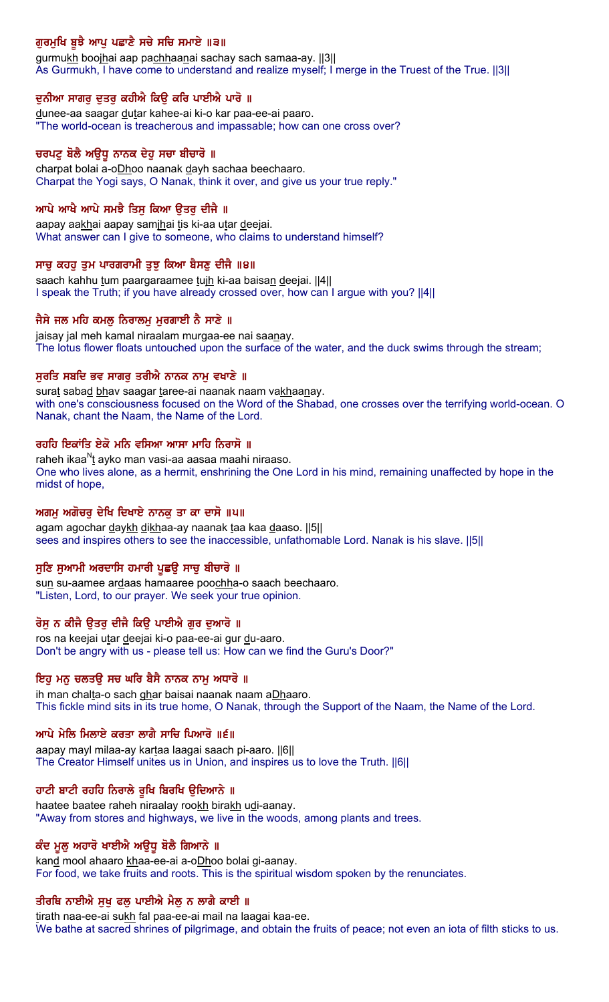# ਗੁਰਮੁਖਿ ਬੁਝੈ ਆਪੂ ਪਛਾਣੈ ਸਚੇ ਸਚਿ ਸਮਾਏ ॥੩॥

gurmukh boojhai aap pachhaanai sachay sach samaa-ay. [3] As Gurmukh, I have come to understand and realize myself; I merge in the Truest of the True. ||3||

## ਦਨੀਆ ਸਾਗਰ ਦਤਰ ਕਹੀਐ ਕਿੳ ਕਰਿ ਪਾਈਐ ਪਾਰੋ ॥

dunee-aa saagar dutar kahee-ai ki-o kar paa-ee-ai paaro. "The world-ocean is treacherous and impassable; how can one cross over?

## ਚਰਪਟੂ ਬੋਲੈ ਅਉਧੂ ਨਾਨਕ ਦੇਹੂ ਸਚਾ ਬੀਚਾਰੋ ॥

charpat bolai a-oDhoo naanak dayh sachaa beechaaro. Charpat the Yogi says, O Nanak, think it over, and give us your true reply."

## ਆਪੇ ਆਖੈ ਆਪੇ ਸਮਝੈ ਤਿਸ ਕਿਆ ੳਤਰ ਦੀਜੈ ॥

aapay aakhai aapay samihai tis ki-aa utar deejai. What answer can I give to someone, who claims to understand himself?

## ਸਾਚ ਕਹਹ ਤਮ ਪਾਰਗਰਾਮੀ ਤਝ ਕਿਆ ਬੈਸਣ ਦੀਜੈ ॥੪॥

saach kahhu tum paargaraamee tuih ki-aa baisan deejai. ||4|| I speak the Truth; if you have already crossed over, how can I argue with you? ||4||

## ਜੈਸੇ ਜਲ ਮਹਿ ਕਮਲੂ ਨਿਰਾਲਮੂ ਮੁਰਗਾਈ ਨੈ ਸਾਣੇ ॥

jaisay jal meh kamal niraalam murgaa-ee nai saanay. The lotus flower floats untouched upon the surface of the water, and the duck swims through the stream;

## ਸਰਤਿ ਸਬਦਿ ਭਵ ਸਾਗਰ ਤਰੀਐ ਨਾਨਕ ਨਾਮ ਵਖਾਣੇ ॥

surat sabad bhav saagar taree-ai naanak naam vakhaanay. with one's consciousness focused on the Word of the Shabad, one crosses over the terrifying world-ocean. O Nanak, chant the Naam, the Name of the Lord.

## ਰਹਹਿ ਇਕਾਂਤਿ ਏਕੋ ਮਨਿ ਵਸਿਆ ਆਸਾ ਮਾਹਿ ਨਿਰਾਸੋ ॥

raheh ikaa $N_t$ ayko man vasi-aa aasaa maahi niraaso. One who lives alone, as a hermit, enshrining the One Lord in his mind, remaining unaffected by hope in the midst of hope,

## ਅਗਮੂ ਅਗੋਚਰੂ ਦੇਖਿ ਦਿਖਾਏ ਨਾਨਕੂ ਤਾ ਕਾ ਦਾਸੋ ॥੫॥

agam agochar daykh dikhaa-ay naanak taa kaa daaso. ||5|| sees and inspires others to see the inaccessible, unfathomable Lord. Nanak is his slave. ||5||

## ਸਣਿ ਸਆਮੀ ਅਰਦਾਸਿ ਹਮਾਰੀ ਪਛੳ ਸਾਚ ਬੀਚਾਰੋ ॥

sun su-aamee ardaas hamaaree poochha-o saach beechaaro. "Listen, Lord, to our prayer. We seek your true opinion.

#### ਰੋਸ ਨ ਕੀਜੈ ੳਤਰ ਦੀਜੈ ਕਿੳ ਪਾਈਐ ਗਰ ਦਆਰੋ ॥

ros na keejai utar deejai ki-o paa-ee-ai gur du-aaro. Don't be angry with us - please tell us: How can we find the Guru's Door?"

## ਇਹ ਮਨੁ ਚਲਤਉ ਸਚ ਘਰਿ ਬੈਸੈ ਨਾਨਕ ਨਾਮੁ ਅਧਾਰੋ ॥

ih man chalta-o sach ghar baisai naanak naam aDhaaro. This fickle mind sits in its true home, O Nanak, through the Support of the Naam, the Name of the Lord.

## ਆਪੇ ਮੇਲਿ ਮਿਲਾਏ ਕਰਤਾ ਲਾਗੈ ਸਾਚਿ ਪਿਆਰੋ ॥੬॥

aapay mayl milaa-ay kartaa laagai saach pi-aaro. ||6|| The Creator Himself unites us in Union, and inspires us to love the Truth. ||6||

### ਹਾਟੀ ਬਾਟੀ ਰਹਹਿ ਨਿਰਾਲੇ ਰੁਖਿ ਬਿਰਖਿ ਉਦਿਆਨੇ ॥

haatee baatee raheh niraalay rookh birakh udi-aanay. "Away from stores and highways, we live in the woods, among plants and trees.

#### ਕੰਦ ਮੁਲੂ ਅਹਾਰੋ ਖਾਈਐ ਅਉਧੂ ਬੋਲੈ ਗਿਆਨੇ ॥

kand mool ahaaro khaa-ee-ai a-oDhoo bolai gi-aanay. For food, we take fruits and roots. This is the spiritual wisdom spoken by the renunciates.

## ਤੀਰਥਿ ਨਾਈਐ ਸੁਖੁ ਫਲੁ ਪਾਈਐ ਮੈਲੁ ਨ ਲਾਗੈ ਕਾਈ ॥

tirath naa-ee-ai sukh fal paa-ee-ai mail na laagai kaa-ee. We bathe at sacred shrines of pilgrimage, and obtain the fruits of peace; not even an iota of filth sticks to us.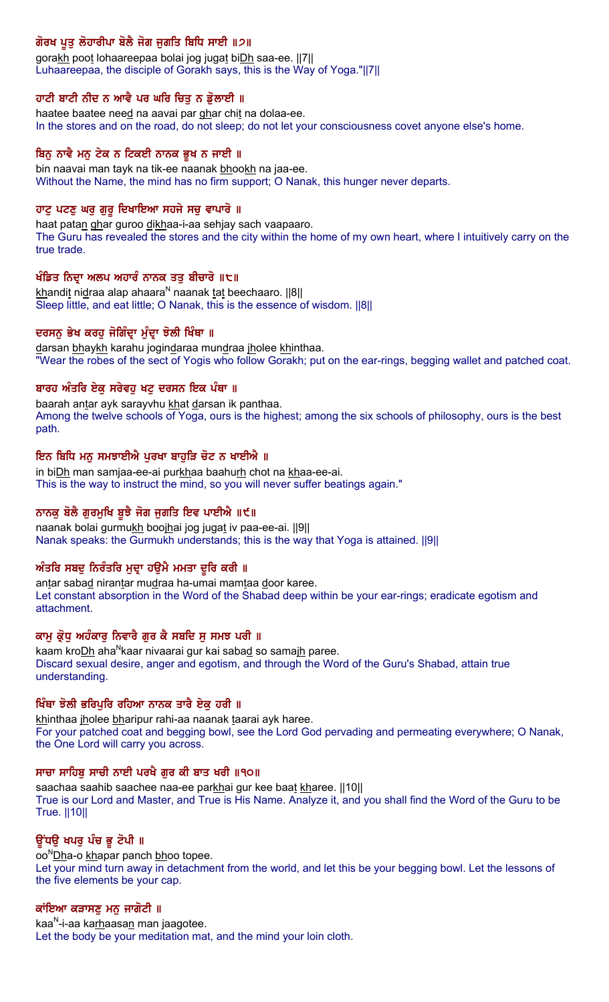# ਗੋਰਖ ਪੂਤੂ ਲੋਹਾਰੀਪਾ ਬੋਲੈ ਜੋਗ ਜੁਗਤਿ ਬਿਧਿ ਸਾਈ ॥੭॥

gorakh poot lohaareepaa bolai jog jugat biDh saa-ee. [7] Luhaareepaa, the disciple of Gorakh says, this is the Way of Yoga."||7||

## ਹਾਟੀ ਬਾਟੀ ਨੀਦ ਨ ਆਵੈ ਪਰ ਘਰਿ ਚਿਤੁ ਨ ਡੁੋਲਾਈ ॥

haatee baatee need na aavai par ghar chit na dolaa-ee. In the stores and on the road, do not sleep; do not let your consciousness covet anyone else's home.

#### ਬਿਨੂ ਨਾਵੈ ਮਨੂ ਟੇਕ ਨ ਟਿਕਈ ਨਾਨਕ ਭੂਖ ਨ ਜਾਈ ॥

bin naavai man tayk na tik-ee naanak bhookh na jaa-ee. Without the Name, the mind has no firm support; O Nanak, this hunger never departs.

#### ਹਾਟ ਪਟਣ ਘਰ ਗਰ ਦਿਖਾਇਆ ਸਹਜੇ ਸਚ ਵਾਪਾਰੋ ॥

haat patan ghar guroo dikhaa-i-aa sehjay sach vaapaaro. The Guru has revealed the stores and the city within the home of my own heart, where I intuitively carry on the true trade.

#### ਖੰਡਿਤ ਨਿਦ੍ਰਾ ਅਲਪ ਅਹਾਰੰ ਨਾਨਕ ਤਤੁ ਬੀਚਾਰੋ ॥੮॥

khandit nidraa alap ahaara<sup>N</sup> naanak tat beechaaro.  $||8||$ Sleep little, and eat little; O Nanak, this is the essence of wisdom. ||8||

#### ਦਰਸਨੂ ਭੇਖ ਕਰਹੂ ਜੋਗਿੰਦ੍ਰਾ ਮੁੰਦ੍ਰਾ ਝੋਲੀ ਖਿੰਥਾ ॥

darsan bhaykh karahu jogindaraa mundraa jholee khinthaa. "Wear the robes of the sect of Yogis who follow Gorakh; put on the ear-rings, begging wallet and patched coat.

#### ਬਾਰਹ ਅੰਤਰਿ ਏਕੁ ਸਰੇਵਹੁ ਖਟੁ ਦਰਸਨ ਇਕ ਪੰਥਾ ॥

baarah antar ayk sarayvhu khat darsan ik panthaa. Among the twelve schools of Yoga, ours is the highest; among the six schools of philosophy, ours is the best path.

#### ਇਨ ਬਿਧਿ ਮਨੁ ਸਮਝਾਈਐ ਪੁਰਖਾ ਬਾਹੁੜਿ ਚੋਟ ਨ ਖਾਈਐ ॥

in biDh man samjaa-ee-ai purkhaa baahurh chot na khaa-ee-ai. This is the way to instruct the mind, so you will never suffer beatings again."

#### ਨਾਨਕੁ ਬੱਲੋਂ ਗੁਰਮੁਖਿ ਬੁਝੋ ਜੰਗ ਜੁਗਤਿ ਇਵ ਪਾਈਐ ॥੯॥

naanak bolai gurmukh boojhai jog jugat iv paa-ee-ai. ||9|| Nanak speaks: the Gurmukh understands; this is the way that Yoga is attained. ||9||

#### ਅੰਤਰਿ ਸਬਦੂ ਨਿਰੰਤਰਿ ਮੁਦ੍ਰਾ ਹਉਮੈ ਮਮਤਾ ਦੂਰਿ ਕਰੀ ॥

antar sabad nirantar mudraa ha-umai mamtaa door karee. Let constant absorption in the Word of the Shabad deep within be your ear-rings; eradicate egotism and attachment.

#### ਕਾਮੂ ਕ੍ਰੋਧੂ ਅਹੰਕਾਰੂ ਨਿਵਾਰੈ ਗੂਰ ਕੈ ਸਬਦਿ ਸੂ ਸਮਝ ਪਰੀ ॥

kaam kro*Dh* aha<sup>N</sup>kaar nivaarai gur kai sabad so samajh paree. Discard sexual desire, anger and egotism, and through the Word of the Guru's Shabad, attain true understanding.

#### ਖਿੰਥਾ ਝੋਲੀ ਭਰਿਪੁਰਿ ਰਹਿਆ ਨਾਨਕ ਤਾਰੈ ਏਕੁ ਹਰੀ ॥

khinthaa jholee bharipur rahi-aa naanak taarai ayk haree. For your patched coat and begging bowl, see the Lord God pervading and permeating everywhere; O Nanak, the One Lord will carry you across.

#### ਸਾਚਾ ਸਾਹਿਬੂ ਸਾਚੀ ਨਾਈ ਪਰਖੈ ਗੁਰ ਕੀ ਬਾਤ ਖਰੀ ॥੧੦॥

saachaa saahib saachee naa-ee parkhai gur kee baat kharee. [[10] True is our Lord and Master, and True is His Name. Analyze it, and you shall find the Word of the Guru to be True. ||10||

#### ਉਂਧਉ ਖਪਰੂ ਪੰਚ ਭੂ ਟੋਪੀ ॥

oo<sup>N</sup>Dha-o khapar panch bhoo topee. Let your mind turn away in detachment from the world, and let this be your begging bowl. Let the lessons of the five elements be your cap.

#### ਕਾਂਇਆ ਕੜਾਸਣੂ ਮਨੂ ਜਾਗੋਟੀ ॥

kaa<sup>N</sup>-i-aa karhaasan man jaagotee. Let the body be your meditation mat, and the mind your loin cloth.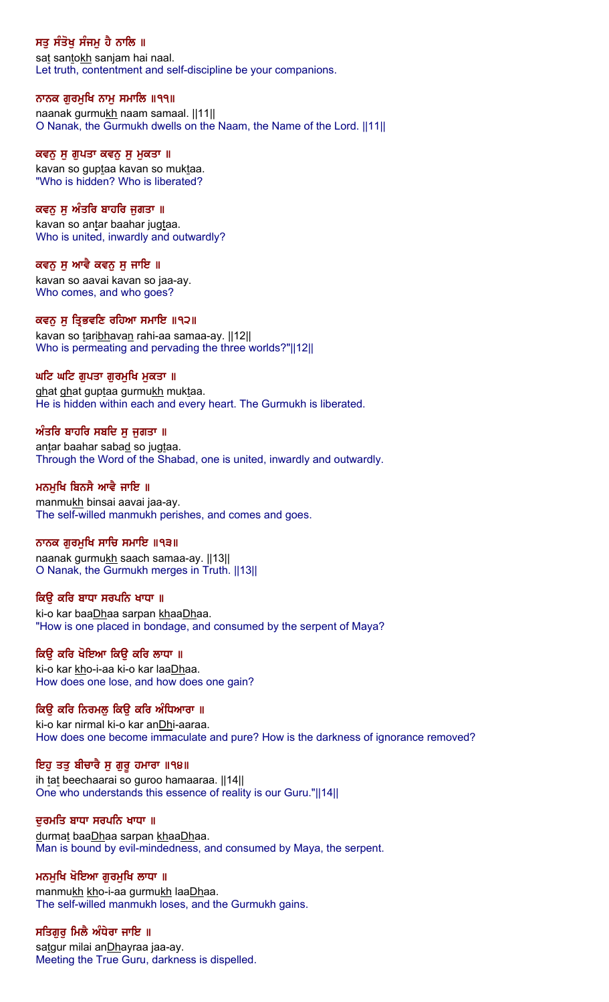# ਸਤੂ ਸੰਤੋਖੂ ਸੰਜਮੂ ਹੈ ਨਾਲਿ ॥

sat santokh sanjam hai naal. Let truth, contentment and self-discipline be your companions.

## ਨਾਨਕ ਗੁਰਮੁਖਿ ਨਾਮੁ ਸਮਾਲਿ ॥੧੧॥

naanak gurmukh naam samaal. ||11|| O Nanak, the Gurmukh dwells on the Naam, the Name of the Lord. ||11||

#### ਕਵਨੁ ਸੁ ਗੁਪਤਾ ਕਵਨੁ ਸੁ ਮੁਕਤਾ ॥

kavan so guptaa kavan so muktaa. "Who is hidden? Who is liberated?

## ਕਵਨ ਸ ਅੰਤਰਿ ਬਾਹਰਿ ਜਗਤਾ ॥

kavan so antar baahar jugtaa. Who is united, inwardly and outwardly?

#### ਕਵਨੁ ਸੁ ਆਵੈ ਕਵਨੁ ਸੁ ਜਾਇ ॥

kavan so aavai kavan so jaa-ay. Who comes, and who goes?

#### ਕਵਨ ਸੁ ਤ੍ਰਿਭਵਣਿ ਰਹਿਆ ਸਮਾਇ ॥੧੨॥

kavan so taribhavan rahi-aa samaa-ay. [12] Who is permeating and pervading the three worlds?"||12||

#### ਘਟਿ ਘਟਿ ਗੁਪਤਾ ਗੁਰਮੁਖਿ ਮੁਕਤਾ ॥

ghat ghat guptaa gurmukh muktaa. He is hidden within each and every heart. The Gurmukh is liberated.

#### ਅੰਤਰਿ ਬਾਹਰਿ ਸਬਦਿ ਸ ਜਗਤਾ ॥

antar baahar sabad so jugtaa. Through the Word of the Shabad, one is united, inwardly and outwardly.

#### ਮਨਮਖਿ ਬਿਨਸੈ ਆਵੈ ਜਾਇ ॥

manmukh binsai aavai jaa-ay. The self-willed manmukh perishes, and comes and goes.

#### ਨਾਨਕ ਗੁਰਮੁਖਿ ਸਾਚਿ ਸਮਾਇ ॥੧੩॥

naanak gurmukh saach samaa-ay. ||13|| O Nanak, the Gurmukh merges in Truth. ||13||

#### ਕਿੳ ਕਰਿ ਬਾਧਾ ਸਰਪਨਿ ਖਾਧਾ ॥

ki-o kar baaDhaa sarpan khaaDhaa. "How is one placed in bondage, and consumed by the serpent of Maya?

#### ਕਿਉ ਕਰਿ ਖੋਇਆ ਕਿਉ ਕਰਿ ਲਾਧਾ ॥

ki-o kar kho-i-aa ki-o kar laaDhaa. How does one lose, and how does one gain?

#### ਕਿਉ ਕਰਿ ਨਿਰਮਲੂ ਕਿਉ ਕਰਿ ਅੰਧਿਆਰਾ ॥

ki-o kar nirmal ki-o kar anDhi-aaraa. How does one become immaculate and pure? How is the darkness of ignorance removed?

#### ਇਹੁ ਤਤੁ ਬੀਚਾਰੈ ਸੁ ਗੁਰੂ ਹਮਾਰਾ ॥੧੪॥

ih tat beechaarai so guroo hamaaraa. ||14|| One who understands this essence of reality is our Guru."||14||

#### ਦੁਰਮਤਿ ਬਾਧਾ ਸਰਪਨਿ ਖਾਧਾ ॥

durmat baaDhaa sarpan khaaDhaa. Man is bound by evil-mindedness, and consumed by Maya, the serpent.

#### ਮਨਮੁਖਿ ਖੋਇਆ ਗੁਰਮੁਖਿ ਲਾਧਾ ॥

manmukh kho-i-aa gurmukh laaDhaa. The self-willed manmukh loses, and the Gurmukh gains.

#### ਸਤਿਗੁਰੂ ਮਿਲੈ ਅੰਧੇਰਾ ਜਾਇ ॥

satgur milai anDhayraa jaa-ay. Meeting the True Guru, darkness is dispelled.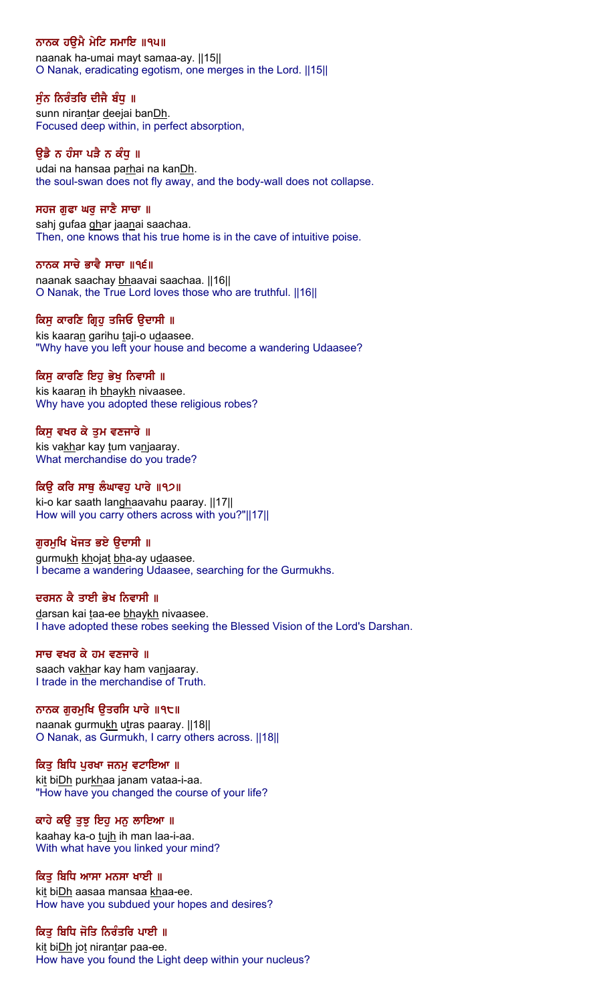# ਨਾਨਕ ਹਉਮੈ ਮੇਟਿ ਸਮਾਇ ॥੧੫॥

naanak ha-umai mayt samaa-ay. ||15|| O Nanak, eradicating egotism, one merges in the Lord. ||15||

# ਸੁੰਨ ਨਿਰੰਤਰਿ ਦੀਜੈ ਬੰਧੁ ॥

sunn nirantar deejai banDh. Focused deep within, in perfect absorption,

## ਉਡੈ ਨ ਹੰਸਾ ਪੜੈ ਨ ਕੰਧੂ ॥

udai na hansaa parhai na kanDh. the soul-swan does not fly away, and the body-wall does not collapse.

## ਸਹਜ ਗੁਫਾ ਘਰੁ ਜਾਣੈ ਸਾਚਾ ॥

sahj gufaa ghar jaanai saachaa. Then, one knows that his true home is in the cave of intuitive poise.

## ਨਾਨਕ ਸਾਚੇ ਭਾਵੈ ਸਾਚਾ ॥੧੬॥

naanak saachay bhaavai saachaa. ||16|| O Nanak, the True Lord loves those who are truthful. ||16||

## ਕਿਸ ਕਾਰਣਿ ਗਿਹ ਤਜਿਓ ੳਦਾਸੀ ॥

kis kaaran garihu taji-o udaasee. "Why have you left your house and become a wandering Udaasee?

# ਕਿਸ ਕਾਰਣਿ ਇਹ ਭੇਖ ਨਿਵਾਸੀ ॥

kis kaaran ih bhaykh nivaasee. Why have you adopted these religious robes?

## ਕਿਸੂ ਵਖਰ ਕੇ ਤੁਮ ਵਣਜਾਰੇ ॥

kis vakhar kay tum vanjaaray. What merchandise do you trade?

## ਕਿੳ ਕਰਿ ਸਾਥ ਲੰਘਾਵਹ ਪਾਰੇ ॥੧੭॥

ki-o kar saath langhaavahu paaray. ||17|| How will you carry others across with you?"||17||

## ਗੁਰਮੁਖਿ ਖੋਜਤ ਭਏ ਉਦਾਸੀ ॥

gurmukh khojat bha-ay udaasee. I became a wandering Udaasee, searching for the Gurmukhs.

## ਦਰਸਨ ਕੈ ਤਾਈ ਭੇਖ ਨਿਵਾਸੀ ॥

darsan kai taa-ee bhaykh nivaasee. I have adopted these robes seeking the Blessed Vision of the Lord's Darshan.

## ਸਾਚ ਵਖਰ ਕੇ ਹਮ ਵਣਜਾਰੇ ॥

saach vakhar kay ham vanjaaray. I trade in the merchandise of Truth.

# ਨਾਨਕ ਗੁਰਮੁਖਿ ਉਤਰਸਿ ਪਾਰੇ ॥੧੮॥

naanak gurmukh utras paaray. [18] O Nanak, as Gurmukh, I carry others across. ||18||

## ਕਿਤੂ ਬਿਧਿ ਪੂਰਖਾ ਜਨਮੂ ਵਟਾਇਆ ॥

kit biDh purkhaa janam vataa-i-aa. "How have you changed the course of your life?

## ਕਾਹੇ ਕਉ ਤੁਝ ਇਹ ਮਨੁ ਲਾਇਆ ॥

kaahay ka-o tujh ih man laa-i-aa. With what have you linked your mind?

## ਕਿਤੂ ਬਿਧਿ ਆਸਾ ਮਨਸਾ ਖਾਈ ॥

kit biDh aasaa mansaa khaa-ee. How have you subdued your hopes and desires?

# ਕਿਤੂ ਬਿਧਿ ਜੋਤਿ ਨਿਰੰਤਰਿ ਪਾਈ ॥

kit biDh jot nirantar paa-ee. How have you found the Light deep within your nucleus?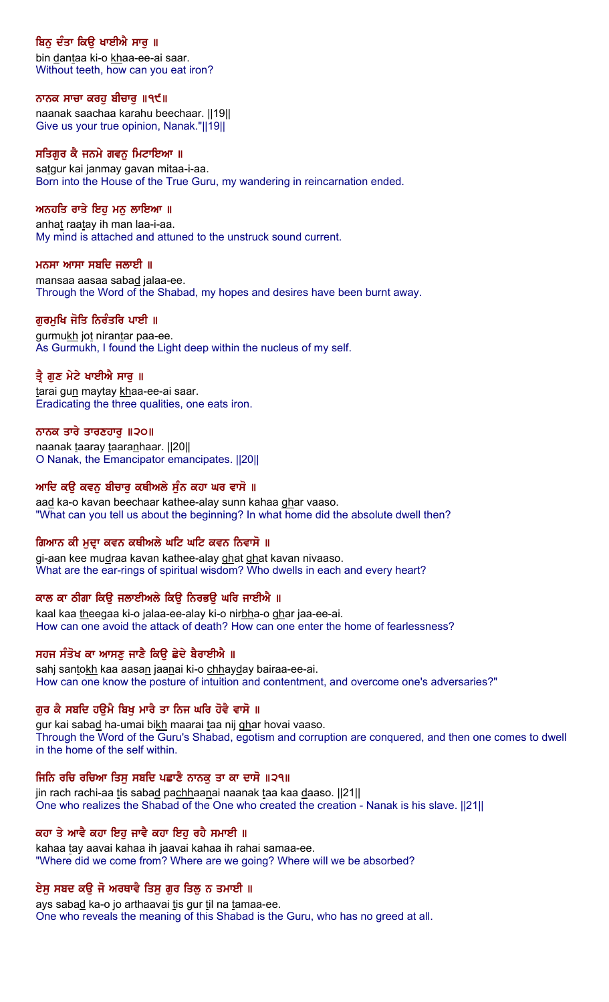# ਬਿਨੂ ਦੰਤਾ ਕਿਉ ਖਾਈਐ ਸਾਰੂ ॥

bin dantaa ki-o khaa-ee-ai saar. Without teeth, how can you eat iron?

#### ਨਾਨਕ ਸਾਚਾ ਕਰਹੁ ਬੀਚਾਰੁ ॥੧੯॥

naanak saachaa karahu beechaar. ||19|| Give us your true opinion, Nanak."||19||

#### ਸਤਿਗੁਰ ਕੈ ਜਨਮੇ ਗਵਨੂ ਮਿਟਾਇਆ ।।

satgur kai janmay gavan mitaa-i-aa. Born into the House of the True Guru, my wandering in reincarnation ended.

## ਅਨਹਤਿ ਰਾਤੇ ਇਹ ਮਨ ਲਾਇਆ ॥

anhat raatay ih man laa-i-aa. My mind is attached and attuned to the unstruck sound current.

## ਮਨਸਾ ਆਸਾ ਸਬਦਿ ਜਲਾਈ ॥

mansaa aasaa sabad jalaa-ee. Through the Word of the Shabad, my hopes and desires have been burnt away.

## ਗਰਮਖਿ ਜੋਤਿ ਨਿਰੰਤਰਿ ਪਾਈ ॥

gurmukh jot nirantar paa-ee. As Gurmukh, I found the Light deep within the nucleus of my self.

## ਤ੍ਰੈ ਗੁਣ ਮੇਟੇ ਖਾਈਐ ਸਾਰੂ ॥

tarai gun maytay khaa-ee-ai saar. Eradicating the three qualities, one eats iron.

## ਨਾਨਕ ਤਾਰੇ ਤਾਰਣਹਾਰ ॥੨੦॥

naanak taaray taaranhaar. [20] O Nanak, the Emancipator emancipates. ||20||

## ਆਦਿ ਕੳ ਕਵਨ ਬੀਚਾਰ ਕਥੀਅਲੇ ਸੰਨ ਕਹਾ ਘਰ ਵਾਸੋ ॥

aad ka-o kavan beechaar kathee-alay sunn kahaa ghar vaaso. "What can you tell us about the beginning? In what home did the absolute dwell then?

## ਗਿਆਨ ਕੀ ਮੁਦਾ ਕਵਨ ਕਥੀਅਲੇ ਘਟਿ ਘਟਿ ਕਵਨ ਨਿਵਾਸੋ ॥

gi-aan kee mudraa kavan kathee-alay ghat ghat kavan nivaaso. What are the ear-rings of spiritual wisdom? Who dwells in each and every heart?

## ਕਾਲ ਕਾ ਠੀਗਾ ਕਿੳ ਜਲਾਈਅਲੇ ਕਿੳ ਨਿਰਭੳ ਘਰਿ ਜਾਈਐ ॥

kaal kaa theegaa ki-o jalaa-ee-alay ki-o nirbha-o ghar jaa-ee-ai. How can one avoid the attack of death? How can one enter the home of fearlessness?

## ਸਹਜ ਸੰਤੋਖ ਕਾ ਆਸਣੂ ਜਾਣੈ ਕਿਉ ਛੇਦੇ ਬੈਰਾਈਐ ॥

sahj santokh kaa aasan jaanai ki-o chhayday bairaa-ee-ai. How can one know the posture of intuition and contentment, and overcome one's adversaries?"

## ਗੁਰ ਕੈ ਸਬਦਿ ਹਉਮੈ ਬਿਖੁ ਮਾਰੈ ਤਾ ਨਿਜ ਘਰਿ ਹੋਵੈ ਵਾਸੋ ॥

gur kai sabad ha-umai bikh maarai taa nij ghar hovai vaaso. Through the Word of the Guru's Shabad, egotism and corruption are conquered, and then one comes to dwell in the home of the self within.

#### ਜਿਨਿ ਰਚਿ ਰਚਿਆ ਤਿਸੁ ਸਬਦਿ ਪਛਾਣੇ ਨਾਨਕੁ ਤਾ ਕਾ ਦਾਸੋ ॥੨੧॥

jin rach rachi-aa tis sabad pachhaanai naanak taa kaa daaso. [21] One who realizes the Shabad of the One who created the creation - Nanak is his slave. ||21||

#### ਕਹਾ ਤੇ ਆਵੈ ਕਹਾ ਇਹੁ ਜਾਵੈ ਕਹਾ ਇਹੁ ਰਹੈ ਸਮਾਈ ॥

kahaa tay aavai kahaa ih jaavai kahaa ih rahai samaa-ee. "Where did we come from? Where are we going? Where will we be absorbed?

## ਏਸ਼ ਸਬਦ ਕਉ ਜੋ ਅਰਥਾਵੈ ਤਿਸੁ ਗੁਰ ਤਿਲੁ ਨ ਤਮਾਈ ॥

ays sabad ka-o jo arthaavai tis gur til na tamaa-ee. One who reveals the meaning of this Shabad is the Guru, who has no greed at all.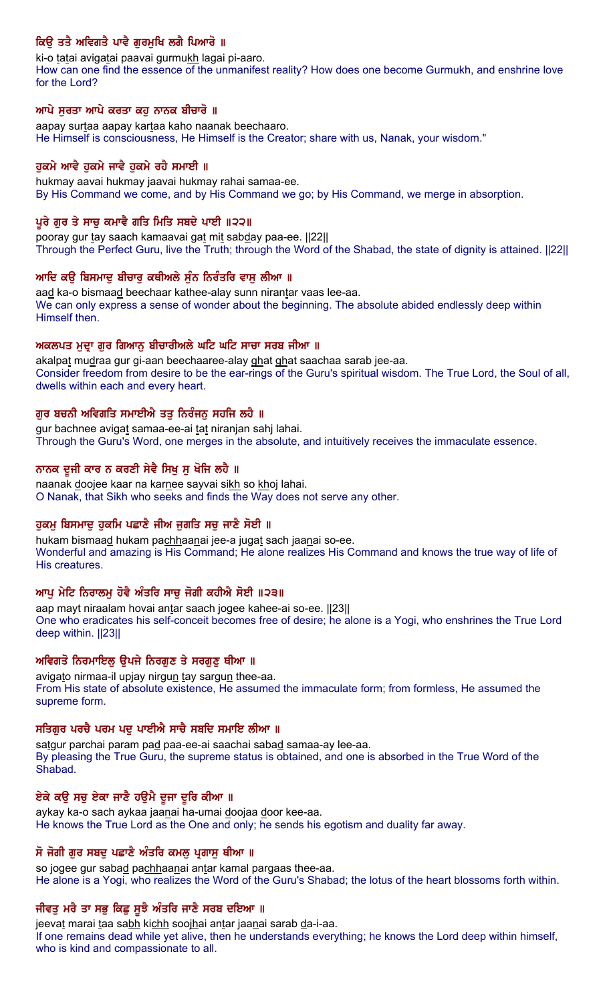# ਕਿਉ ਤਤੈ ਅਵਿਗਤੈ ਪਾਵੈ ਗੁਰਮੁਖਿ ਲਗੈ ਪਿਆਰੋ ॥

ki-o tatai avigatai paavai gurmukh lagai pi-aaro. How can one find the essence of the unmanifest reality? How does one become Gurmukh, and enshrine love for the Lord?

## ਆਪੇ ਸਰਤਾ ਆਪੇ ਕਰਤਾ ਕਹ ਨਾਨਕ ਬੀਚਾਰੋ ॥

aapay surtaa aapay kartaa kaho naanak beechaaro. He Himself is consciousness, He Himself is the Creator; share with us, Nanak, your wisdom."

## ਹਕਮੇ ਆਵੈ ਹਕਮੇ ਜਾਵੈ ਹਕਮੇ ਰਹੈ ਸਮਾਈ ॥

hukmay aavai hukmay jaavai hukmay rahai samaa-ee. By His Command we come, and by His Command we go; by His Command, we merge in absorption.

## ਪੂਰੇ ਗੁਰ ਤੇ ਸਾਚੂ ਕਮਾਵੈ ਗਤਿ ਮਿਤਿ ਸਬਦੇ ਪਾਈ ॥੨੨॥

pooray gur tay saach kamaavai gat mit sabday paa-ee. ||22|| Through the Perfect Guru, live the Truth; through the Word of the Shabad, the state of dignity is attained. ||22||

## ਆਦਿ ਕਉ ਬਿਸਮਾਦੂ ਬੀਚਾਰੂ ਕਥੀਅਲੇ ਸੁੰਨ ਨਿਰੰਤਰਿ ਵਾਸੂ ਲੀਆ ॥

aad ka-o bismaad beechaar kathee-alay sunn nirantar vaas lee-aa. We can only express a sense of wonder about the beginning. The absolute abided endlessly deep within Himself then.

## ਅਕਲਪਤ ਮੁਦ੍ਰਾ ਗੁਰ ਗਿਆਨੂ ਬੀਚਾਰੀਅਲੇ ਘਟਿ ਘਟਿ ਸਾਚਾ ਸਰਬ ਜੀਆ ॥

akalpat mudraa gur gi-aan beechaaree-alay ghat ghat saachaa sarab jee-aa. Consider freedom from desire to be the ear-rings of the Guru's spiritual wisdom. The True Lord, the Soul of all, dwells within each and every heart.

## ਗੁਰ ਬਚਨੀ ਅਵਿਗਤਿ ਸਮਾਈਐ ਤਤੁ ਨਿਰੰਜਨੁ ਸਹਜਿ ਲਹੈ ॥

gur bachnee avigat samaa-ee-ai tat niranjan sahj lahai. Through the Guru's Word, one merges in the absolute, and intuitively receives the immaculate essence.

## ਨਾਨਕ ਦੂਜੀ ਕਾਰ ਨ ਕਰਣੀ ਸੇਵੈ ਸਿਖੂ ਸੁ ਖੋਜਿ ਲਹੈ ॥

naanak doojee kaar na karnee sayvai sikh so khoj lahai. O Nanak, that Sikh who seeks and finds the Way does not serve any other.

# ਹੁਕਮ ਬਿਸਮਾਦੂ ਹੁਕਮਿ ਪਛਾਣੈ ਜੀਅ ਜੁਗਤਿ ਸਚੂ ਜਾਣੈ ਸੋਈ ॥

hukam bismaad hukam pachhaanai jee-a jugat sach jaanai so-ee. Wonderful and amazing is His Command; He alone realizes His Command and knows the true way of life of His creatures.

## ਆਪੂ ਮੇਟਿ ਨਿਰਾਲਮੂ ਹੋਵੈ ਅੰਤਰਿ ਸਾਚੂ ਜੋਗੀ ਕਹੀਐ ਸੋਈ ॥੨੩॥

aap mayt niraalam hovai antar saach jogee kahee-ai so-ee. ||23|| One who eradicates his self-conceit becomes free of desire; he alone is a Yogi, who enshrines the True Lord deep within. ||23||

## ਅਵਿਗਤੋ ਨਿਰਮਾਇਲ ੳਪਜੇ ਨਿਰਗਣ ਤੇ ਸਰਗਣ ਥੀਆ ॥

avigato nirmaa-il upjay nirgun tay sargun thee-aa. From His state of absolute existence, He assumed the immaculate form; from formless, He assumed the supreme form.

## ਸਤਿਗੁਰ ਪਰਚੈ ਪਰਮ ਪਦੁ ਪਾਈਐ ਸਾਚੈ ਸਬਦਿ ਸਮਾਇ ਲੀਆ ॥

satgur parchai param pad paa-ee-ai saachai sabad samaa-ay lee-aa. By pleasing the True Guru, the supreme status is obtained, and one is absorbed in the True Word of the Shabad.

## ਏਕੇ ਕਉ ਸਚੁ ਏਕਾ ਜਾਣੋ ਹਉਮੋ ਦੂਜਾ ਦੂਰਿ ਕੀਆ ॥

aykay ka-o sach aykaa jaanai ha-umai doojaa door kee-aa. He knows the True Lord as the One and only; he sends his egotism and duality far away.

## ਸੋ ਜੋਗੀ ਗੁਰ ਸਬਦੂ ਪਛਾਣੈ ਅੰਤਰਿ ਕਮਲੂ ਪ੍ਰਗਾਸੂ ਥੀਆ ॥

so jogee gur sabad pachhaanai antar kamal pargaas thee-aa. He alone is a Yogi, who realizes the Word of the Guru's Shabad; the lotus of the heart blossoms forth within.

# ਜੀਵਤੂ ਮਰੈ ਤਾ ਸਭੂ ਕਿਛੂ ਸੁਝੈ ਅੰਤਰਿ ਜਾਣੈ ਸਰਬ ਦਇਆ ॥

jeevat marai taa sabh kichh soojhai antar jaanai sarab da-i-aa.

If one remains dead while yet alive, then he understands everything; he knows the Lord deep within himself, who is kind and compassionate to all.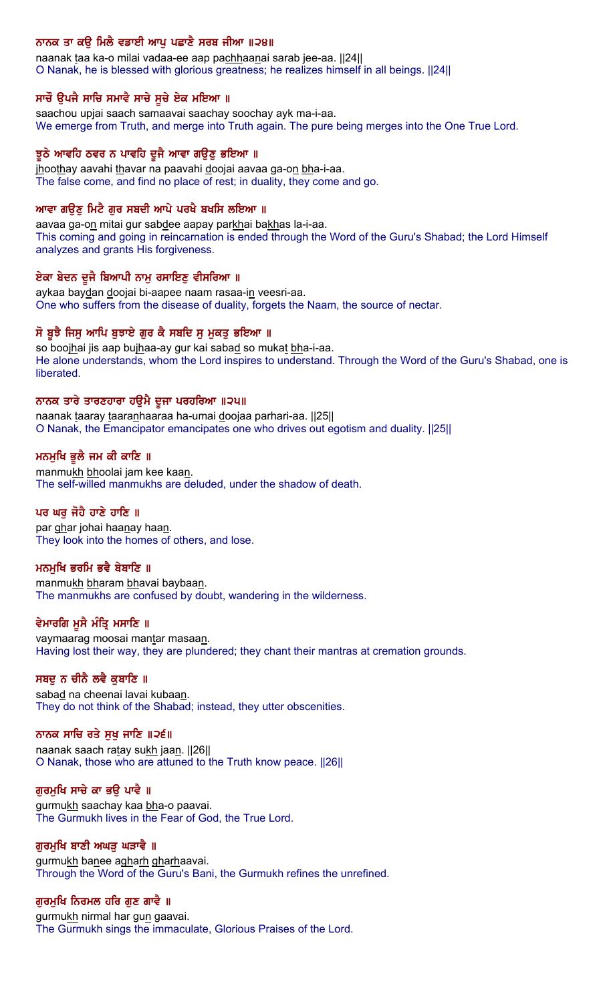## ਨਾਨਕ ਤਾ ਕਉ ਮਿਲੈ ਵਡਾਈ ਆਪੂ ਪਛਾਣੋ ਸਰਬ ਜੀਆ ॥੨੪॥

naanak taa ka-o milai vadaa-ee aap pachhaanai sarab jee-aa. ||24|| O Nanak, he is blessed with glorious greatness; he realizes himself in all beings. ||24||

## ਸਾਚੌ ਉਪਜੈ ਸਾਚਿ ਸਮਾਵੈ ਸਾਚੇ ਸੁਚੇ ਏਕ ਮਇਆ ॥

saachou upjai saach samaavai saachay soochay ayk ma-i-aa. We emerge from Truth, and merge into Truth again. The pure being merges into the One True Lord.

#### ਝੂਠੇ ਆਵਹਿ ਠਵਰ ਨ ਪਾਵਹਿ ਦੂਜੈ ਆਵਾ ਗਉਣੂ ਭਇਆ ॥

jhoothay aavahi thavar na paavahi doojai aavaa ga-on bha-i-aa. The false come, and find no place of rest; in duality, they come and go.

#### ਆਵਾ ਗੳਣ ਮਿਟੈ ਗਰ ਸਬਦੀ ਆਪੇ ਪਰਖੈ ਬਖਸਿ ਲਇਆ ॥

aavaa ga-on mitai gur sabdee aapay parkhai bakhas la-i-aa. This coming and going in reincarnation is ended through the Word of the Guru's Shabad; the Lord Himself analyzes and grants His forgiveness.

#### ਏਕਾ ਬੇਦਨ ਦੂਜੈ ਬਿਆਪੀ ਨਾਮੂ ਰਸਾਇਣੂ ਵੀਸਰਿਆ ॥

aykaa baydan doojai bi-aapee naam rasaa-in veesri-aa. One who suffers from the disease of duality, forgets the Naam, the source of nectar.

## ਸੋ ਬੁਝੈ ਜਿਸੂ ਆਪਿ ਬੁਝਾਏ ਗੁਰ ਕੈ ਸਬਦਿ ਸੂ ਮੁਕਤੂ ਭਇਆ ॥

so boojhai jis aap bujhaa-ay gur kai sabad so mukat bha-i-aa. He alone understands, whom the Lord inspires to understand. Through the Word of the Guru's Shabad, one is liberated.

## ਨਾਨਕ ਤਾਰੇ ਤਾਰਣਹਾਰਾ ਹਉਮੈ ਦੂਜਾ ਪਰਹਰਿਆ ॥੨੫॥

naanak taaray taaranhaaraa ha-umai doojaa parhari-aa. ||25|| O Nanak, the Emancipator emancipates one who drives out egotism and duality. ||25||

## ਮਨਮੁਖਿ ਭੁਲੈ ਜਮ ਕੀ ਕਾਣਿ ॥

manmukh bhoolai jam kee kaan. The self-willed manmukhs are deluded, under the shadow of death.

#### ਪਰ ਘਰੂ ਜੋਹੇ ਹਾਣੇ ਹਾਣਿ ॥

par ghar johai haanay haan. They look into the homes of others, and lose.

#### ਮਨਮਖਿ ਭਰਮਿ ਭਵੈ ਬੇਬਾਣਿ ॥

manmukh bharam bhavai baybaan. The manmukhs are confused by doubt, wandering in the wilderness.

#### ਵੇਮਾਰਗਿ ਮੁਸੈ ਮੰਤ੍ਰਿ ਮਸਾਣਿ ॥

vaymaarag moosai mantar masaan. Having lost their way, they are plundered; they chant their mantras at cremation grounds.

#### ਸਬਦੁ ਨ ਚੀਨੈ ਲਵੈ ਕੁਬਾਣਿ ॥

sabad na cheenai lavai kubaan. They do not think of the Shabad; instead, they utter obscenities.

#### ਨਾਨਕ ਸਾਚਿ ਰਤੇ ਸਖ ਜਾਣਿ ॥੨੬॥

naanak saach ratay sukh jaan. ||26|| O Nanak, those who are attuned to the Truth know peace. ||26||

#### ਗੁਰਮੁਖਿ ਸਾਚੇ ਕਾ ਭਉ ਪਾਵੈ ॥

gurmukh saachay kaa bha-o paavai. The Gurmukh lives in the Fear of God, the True Lord.

#### ਗੁਰਮੁਖਿ ਬਾਣੀ ਅਘੜੁ ਘੜਾਵੈ ॥

gurmukh banee agharh gharhaavai. Through the Word of the Guru's Bani, the Gurmukh refines the unrefined.

#### ਗੁਰਮੁਖਿ ਨਿਰਮਲ ਹਰਿ ਗੁਣ ਗਾਵੇ ॥

gurmukh nirmal har gun gaavai. The Gurmukh sings the immaculate, Glorious Praises of the Lord.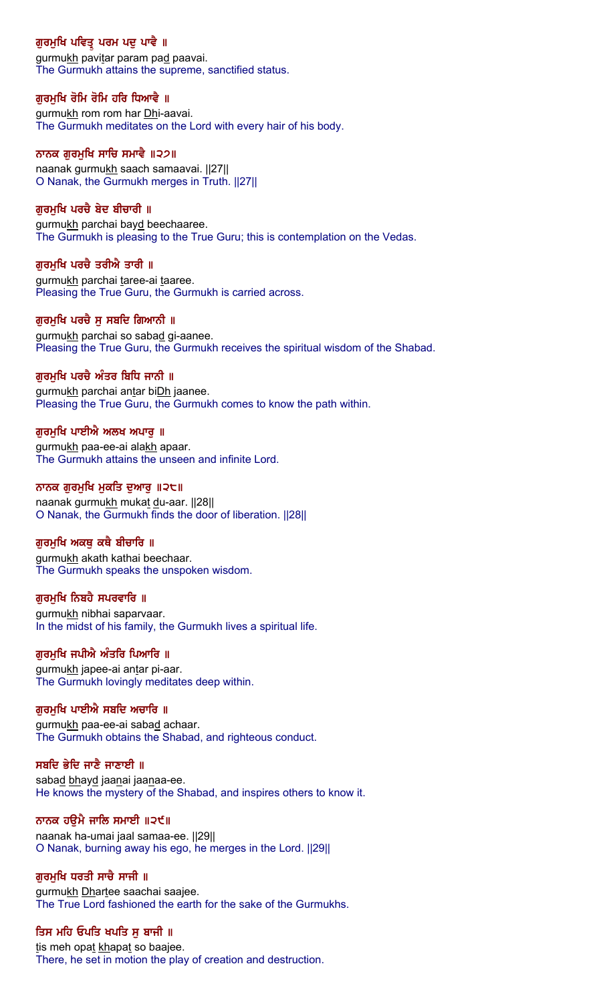# ਗੁਰਮੁਖਿ ਪਵਿਤ੍ਰ ਪਰਮ ਪਦੁ ਪਾਵੇ ॥

gurmukh pavitar param pad paavai. The Gurmukh attains the supreme, sanctified status.

## ਗੁਰਮੁਖਿ ਰੋਮਿ ਰੋਮਿ ਹਰਿ ਧਿਆਵੈ ॥

gurmukh rom rom har Dhi-aavai. The Gurmukh meditates on the Lord with every hair of his body.

#### ਨਾਨਕ ਗੁਰਮੁਖਿ ਸਾਚਿ ਸਮਾਵੈ ॥੨੭॥

naanak gurmukh saach samaavai. ||27|| O Nanak, the Gurmukh merges in Truth. ||27||

#### ਗਰਮਖਿ ਪਰਚੈ ਬੇਦ ਬੀਚਾਰੀ ॥

gurmukh parchai bayd beechaaree. The Gurmukh is pleasing to the True Guru; this is contemplation on the Vedas.

#### ਗੁਰਮੁਖਿ ਪਰਚੈ ਤਰੀਐ ਤਾਰੀ ॥

gurmukh parchai taree-ai taaree. Pleasing the True Guru, the Gurmukh is carried across.

#### ਗਰਮਖਿ ਪਰਚੈ ਸ ਸਬਦਿ ਗਿਆਨੀ ॥

gurmukh parchai so sabad gi-aanee. Pleasing the True Guru, the Gurmukh receives the spiritual wisdom of the Shabad.

## ਗਰਮਖਿ ਪਰਚੈ ਅੰਤਰ ਬਿਧਿ ਜਾਨੀ ॥

gurmukh parchai antar biDh jaanee. Pleasing the True Guru, the Gurmukh comes to know the path within.

## ਗੁਰਮੁਖਿ ਪਾਈਐ ਅਲਖ ਅਪਾਰੂ ॥

gurmukh paa-ee-ai alakh apaar. The Gurmukh attains the unseen and infinite Lord.

#### ਨਾਨਕ ਗਰਮਖਿ ਮਕਤਿ ਦਆਰ ॥੨੮॥

naanak gurmukh mukat du-aar. ||28|| O Nanak, the Gurmukh finds the door of liberation. ||28||

## ਗੁਰਮੁਖਿ ਅਕਥੂ ਕਥੈ ਬੀਚਾਰਿ ॥

gurmukh akath kathai beechaar. The Gurmukh speaks the unspoken wisdom.

#### ਗਰਮਖਿ ਨਿਬਹੈ ਸਪਰਵਾਰਿ ॥

gurmukh nibhai saparvaar. In the midst of his family, the Gurmukh lives a spiritual life.

#### ਗੁਰਮੁਖਿ ਜਪੀਐ ਅੰਤਰਿ ਪਿਆਰਿ ॥

gurmukh japee-ai antar pi-aar. The Gurmukh lovingly meditates deep within.

## ਗੁਰਮੁਖਿ ਪਾਈਐ ਸਬਦਿ ਅਚਾਰਿ ॥

gurmukh paa-ee-ai sabad achaar. The Gurmukh obtains the Shabad, and righteous conduct.

#### ਸਬਦਿ ਭੇਦਿ ਜਾਣੈ ਜਾਣਾਈ ॥

sabad bhayd jaanai jaanaa-ee. He knows the mystery of the Shabad, and inspires others to know it.

#### ਨਾਨਕ ਹਉਮੈ ਜਾਲਿ ਸਮਾਈ ॥੨੯॥

naanak ha-umai jaal samaa-ee. ||29|| O Nanak, burning away his ego, he merges in the Lord. ||29||

#### ਗੁਰਮੁਖਿ ਧਰਤੀ ਸਾਚੇ ਸਾਜੀ ॥

gurmukh Dhartee saachai saajee. The True Lord fashioned the earth for the sake of the Gurmukhs.

#### ਤਿਸ ਮਹਿ ਓਪਤਿ ਖਪਤਿ ਸੁ ਬਾਜੀ ॥

tis meh opat khapat so baajee. There, he set in motion the play of creation and destruction.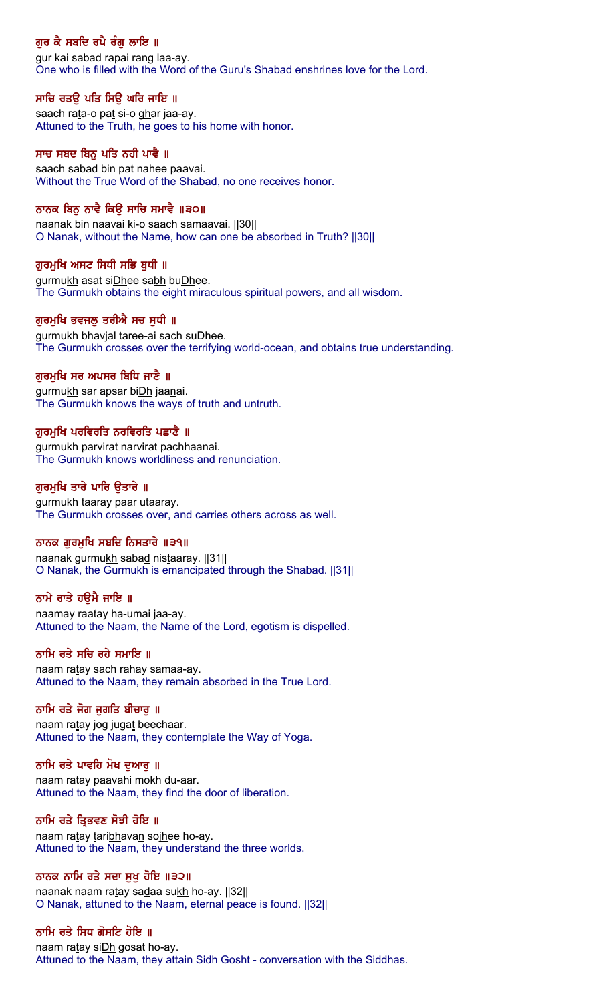# ਗੁਰ ਕੈ ਸਬਦਿ ਰਪੈ ਰੰਗੂ ਲਾਇ ॥

gur kai sabad rapai rang laa-ay. One who is filled with the Word of the Guru's Shabad enshrines love for the Lord.

## ਸਾਚਿ ਰਤੳ ਪਤਿ ਸਿੳ ਘਰਿ ਜਾਇ ॥

saach rata-o pat si-o ghar jaa-ay. Attuned to the Truth, he goes to his home with honor.

## ਸਾਚ ਸਬਦ ਬਿਨੂ ਪਤਿ ਨਹੀ ਪਾਵੈ ॥

saach sabad bin pat nahee paavai. Without the True Word of the Shabad, no one receives honor.

## ਨਾਨਕ ਬਿਨ ਨਾਵੈ ਕਿੳ ਸਾਚਿ ਸਮਾਵੈ ॥੩੦॥

naanak bin naavai ki-o saach samaavai. ||30|| O Nanak, without the Name, how can one be absorbed in Truth? ||30||

## ਗੁਰਮੁਖਿ ਅਸਟ ਸਿਧੀ ਸਭਿ ਬੁਧੀ ॥

gurmukh asat siDhee sabh buDhee. The Gurmukh obtains the eight miraculous spiritual powers, and all wisdom.

## ਗਰਮਖਿ ਭਵਜਲ ਤਰੀਐ ਸਚ ਸਧੀ ॥

gurmukh bhavjal taree-ai sach suDhee. The Gurmukh crosses over the terrifying world-ocean, and obtains true understanding.

## ਗਰਮਖਿ ਸਰ ਅਪਸਰ ਬਿਧਿ ਜਾਣੈ ॥

gurmukh sar apsar bi**Dh** jaanai. The Gurmukh knows the ways of truth and untruth.

## ਗਰਮਖਿ ਪਰਵਿਰਤਿ ਨਰਵਿਰਤਿ ਪਛਾਣੈ ॥

gurmukh parvirat narvirat pachhaanai. The Gurmukh knows worldliness and renunciation.

## ਗਰਮਖਿ ਤਾਰੇ ਪਾਰਿ ੳਤਾਰੇ ॥

gurmukh taaray paar utaaray. The Gurmukh crosses over, and carries others across as well.

## ਨਾਨਕ ਗੁਰਮੁਖਿ ਸਬਦਿ ਨਿਸਤਾਰੇ ॥੩੧॥

naanak gurmukh sabad nistaaray. ||31|| O Nanak, the Gurmukh is emancipated through the Shabad. ||31||

## ਨਾਮੇ ਰਾਤੇ ਹੳਮੈ ਜਾਇ ॥

naamay raatay ha-umai jaa-ay. Attuned to the Naam, the Name of the Lord, egotism is dispelled.

#### ਨਾਮਿ ਰਤੇ ਸਚਿ ਰਹੇ ਸਮਾਇ ॥

naam ratay sach rahay samaa-ay. Attuned to the Naam, they remain absorbed in the True Lord.

#### ਨਾਮਿ ਰਤੇ ਜੋਗ ਜੁਗਤਿ ਬੀਚਾਰੂ ॥

naam ratay jog jugat beechaar. Attuned to the Naam, they contemplate the Way of Yoga.

#### ਨਾਮਿ ਰਤੇ ਪਾਵਹਿ ਮੋਖ ਦਆਰ ॥

naam ratay paavahi mokh du-aar. Attuned to the Naam, they find the door of liberation.

#### ਨਾਮਿ ਰਤੇ ਤ੍ਰਿਭਵਣ ਸੋਝੀ ਹੋਇ ॥

naam ratay taribhavan sojhee ho-ay. Attuned to the Naam, they understand the three worlds.

## ਨਾਨਕ ਨਾਮਿ ਰਤੇ ਸਦਾ ਸੁਖੁ ਹੋਇ ॥੩੨॥

naanak naam ratay sadaa sukh ho-ay. ||32|| O Nanak, attuned to the Naam, eternal peace is found. ||32||

#### ਨਾਮਿ ਰਤੇ ਸਿਧ ਗੋਸਟਿ ਹੋਇ ॥

naam ratay si**Dh** gosat ho-ay. Attuned to the Naam, they attain Sidh Gosht - conversation with the Siddhas.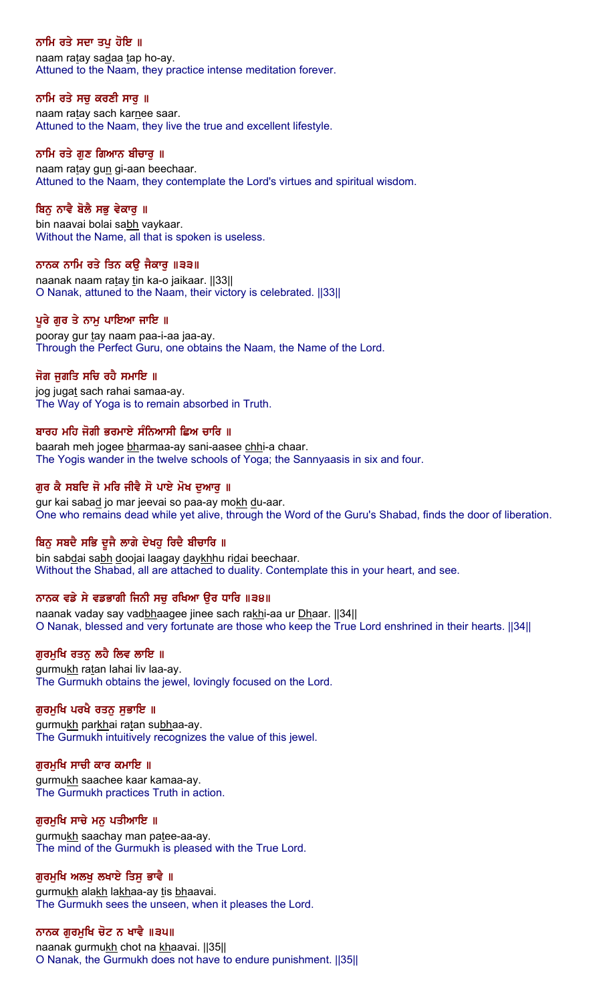## ਨਾਮਿ ਰਤੇ ਸਦਾ ਤਪੁ ਹੋਇ ॥

naam ratay sadaa tap ho-ay. Attuned to the Naam, they practice intense meditation forever.

## ਨਾਮਿ ਰਤੇ ਸਚੁ ਕਰਣੀ ਸਾਰੁ ॥

naam ratay sach karnee saar. Attuned to the Naam, they live the true and excellent lifestyle.

#### ਨਾਮਿ ਰਤੇ ਗੁਣ ਗਿਆਨ ਬੀਚਾਰੂ ॥

naam ratay gun gi-aan beechaar. Attuned to the Naam, they contemplate the Lord's virtues and spiritual wisdom.

## ਬਿਨ ਨਾਵੈ ਬੋਲੈ ਸਭ ਵੇਕਾਰ ॥

bin naavai bolai sabh vaykaar. Without the Name, all that is spoken is useless.

## ਨਾਨਕ ਨਾਮਿ ਰਤੇ ਤਿਨ ਕਉ ਜੈਕਾਰੁ ॥੩੩॥

naanak naam ratay tin ka-o jaikaar. [[33]] O Nanak, attuned to the Naam, their victory is celebrated. ||33||

## ਪਰੇ ਗਰ ਤੇ ਨਾਮ ਪਾਇਆ ਜਾਇ ॥

pooray gur tay naam paa-i-aa jaa-ay. Through the Perfect Guru, one obtains the Naam, the Name of the Lord.

## ਜੋਗ ਜਗਤਿ ਸਚਿ ਰਹੈ ਸਮਾਇ ॥

jog jugat sach rahai samaa-ay. The Way of Yoga is to remain absorbed in Truth.

## ਬਾਰਹ ਮਹਿ ਜੋਗੀ ਭਰਮਾਏ ਸੰਨਿਆਸੀ ਛਿਅ ਚਾਰਿ ॥

baarah meh jogee bharmaa-ay sani-aasee chhi-a chaar. The Yogis wander in the twelve schools of Yoga; the Sannyaasis in six and four.

## ਗਰ ਕੈ ਸਬਦਿ ਜੋ ਮਰਿ ਜੀਵੈ ਸੋ ਪਾਏ ਮੋਖ ਦਆਰ ॥

gur kai sabad jo mar jeevai so paa-ay mokh du-aar. One who remains dead while yet alive, through the Word of the Guru's Shabad, finds the door of liberation.

## ਬਿਨੂ ਸਬਦੈ ਸਭਿ ਦੂਜੈ ਲਾਗੇ ਦੇਖਹੂ ਰਿਦੈ ਬੀਚਾਰਿ ॥

bin sabdai sabh doojai laagay daykhhu ridai beechaar. Without the Shabad, all are attached to duality. Contemplate this in your heart, and see.

## ਨਾਨਕ ਵਡੇ ਸੇ ਵਡਭਾਗੀ ਜਿਨੀ ਸਚ ਰਖਿਆ ੳਰ ਧਾਰਿ ॥੩੪॥

naanak vaday say vadbhaagee jinee sach rakhi-aa ur Dhaar. [[34]] O Nanak, blessed and very fortunate are those who keep the True Lord enshrined in their hearts. ||34||

#### ਗੁਰਮੁਖਿ ਰਤਨ ਲਹੈ ਲਿਵ ਲਾਇ ॥

gurmukh ratan lahai liv laa-ay. The Gurmukh obtains the jewel, lovingly focused on the Lord.

## ਗੁਰਮੁਖਿ ਪਰਖੈ ਰਤਨ ਸੁਭਾਇ ॥

gurmukh parkhai ratan subhaa-ay. The Gurmukh intuitively recognizes the value of this jewel.

#### ਗਰਮਖਿ ਸਾਚੀ ਕਾਰ ਕਮਾਇ ॥

gurmukh saachee kaar kamaa-ay. The Gurmukh practices Truth in action.

#### ਗੁਰਮੁਖਿ ਸਾਚੇ ਮਨੁ ਪਤੀਆਇ ॥

gurmukh saachay man patee-aa-ay. The mind of the Gurmukh is pleased with the True Lord.

## ਗੁਰਮੁਖਿ ਅਲਖੁ ਲਖਾਏ ਤਿਸੁ ਭਾਵੈ ॥

gurmukh alakh lakhaa-ay tis bhaavai. The Gurmukh sees the unseen, when it pleases the Lord.

## ਨਾਨਕ ਗੁਰਮੁਖਿ ਚੋਟ ਨ ਖਾਵੈ ॥੩੫॥

naanak gurmukh chot na khaavai. [[35] O Nanak, the Gurmukh does not have to endure punishment. ||35||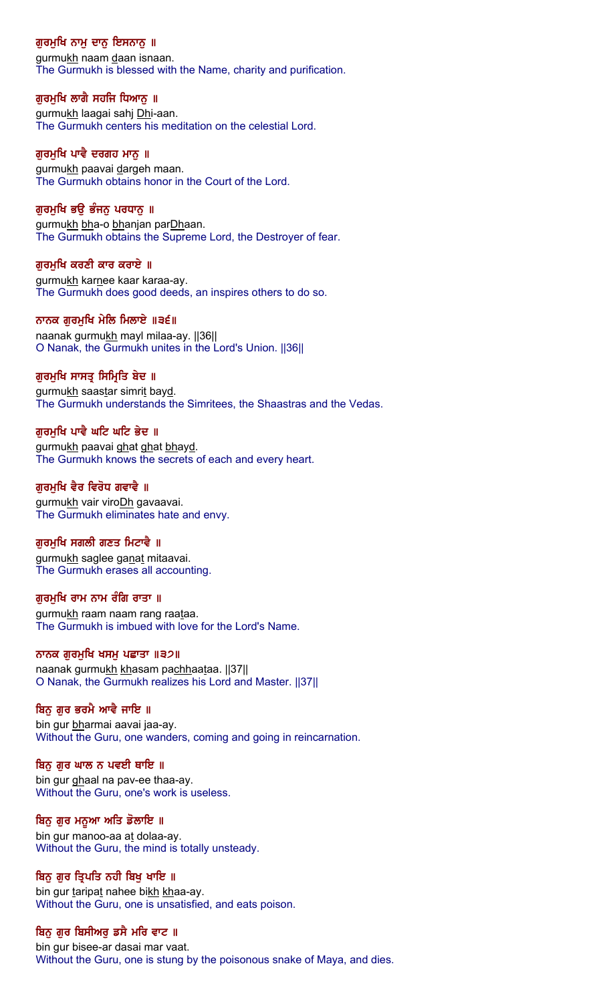# ਗੁਰਮੁਖਿ ਨਾਮੂ ਦਾਨੂ ਇਸਨਾਨੂ ॥

gurmukh naam daan isnaan. The Gurmukh is blessed with the Name, charity and purification.

## ਗੁਰਮੁਖਿ ਲਾਗੈ ਸਹਜਿ ਧਿਆਨੁ ॥

gurmukh laagai sahj Dhi-aan. The Gurmukh centers his meditation on the celestial Lord.

#### ਗਰਮਖਿ ਪਾਵੈ ਦਰਗਹ ਮਾਨ ॥

gurmukh paavai dargeh maan. The Gurmukh obtains honor in the Court of the Lord.

## ਗਰਮਖਿ ਭੳ ਭੰਜਨ ਪਰਧਾਨ ॥

gurmukh bha-o bhanjan parDhaan. The Gurmukh obtains the Supreme Lord, the Destroyer of fear.

## ਗੁਰਮੁਖਿ ਕਰਣੀ ਕਾਰ ਕਰਾਏ ॥

gurmukh karnee kaar karaa-ay. The Gurmukh does good deeds, an inspires others to do so.

## ਨਾਨਕ ਗਰਮਖਿ ਮੇਲਿ ਮਿਲਾਏ ॥੩੬॥

naanak gurmukh mayl milaa-ay. ||36|| O Nanak, the Gurmukh unites in the Lord's Union. ||36||

## ਗੁਰਮੁਖਿ ਸਾਸਤ੍ਰ ਸਿਮ੍ਰਿਤਿ ਬੇਦ ॥

gurmukh saastar simrit bayd. The Gurmukh understands the Simritees, the Shaastras and the Vedas.

## ਗਰਮਖਿ ਪਾਵੈ ਘਟਿ ਘਟਿ ਭੇਦ ॥

gurmukh paavai ghat ghat bhayd. The Gurmukh knows the secrets of each and every heart.

## ਗਰਮਖਿ ਵੈਰ ਵਿਰੋਧ ਗਵਾਵੈ ॥

gurmukh vair viroDh gavaavai. The Gurmukh eliminates hate and envy.

## ਗੁਰਮੁਖਿ ਸਗਲੀ ਗਣਤ ਮਿਟਾਵੈ ॥

gurmukh saglee ganat mitaavai. The Gurmukh erases all accounting.

#### ਗਰਮਖਿ ਰਾਮ ਨਾਮ ਰੰਗਿ ਰਾਤਾ ॥

gurmukh raam naam rang raataa. The Gurmukh is imbued with love for the Lord's Name.

#### ਨਾਨਕ ਗੁਰਮੁਖਿ ਖਸਮੂ ਪਛਾਤਾ ॥੩੭॥

naanak gurmukh khasam pachhaataa. ||37|| O Nanak, the Gurmukh realizes his Lord and Master. ||37||

## ਬਿਨ ਗਰ ਭਰਮੈ ਆਵੈ ਜਾਇ ॥

bin gur bharmai aavai jaa-ay. Without the Guru, one wanders, coming and going in reincarnation.

#### ਬਿਨੂ ਗੁਰ ਘਾਲ ਨ ਪਵਈ ਥਾਇ ॥

bin gur ghaal na pav-ee thaa-ay. Without the Guru, one's work is useless.

#### ਬਿਨੂ ਗੁਰ ਮਨੁਆ ਅਤਿ ਡੋਲਾਇ ॥

bin gur manoo-aa at dolaa-ay. Without the Guru, the mind is totally unsteady.

## ਬਿਨੂ ਗੁਰ ਤ੍ਰਿਪਤਿ ਨਹੀ ਬਿਖੂ ਖਾਇ ॥

bin gur taripat nahee bikh khaa-ay. Without the Guru, one is unsatisfied, and eats poison.

## ਬਿਨੂ ਗੁਰ ਬਿਸੀਅਰੂ ਡਸੈ ਮਰਿ ਵਾਟ ॥

bin gur bisee-ar dasai mar vaat. Without the Guru, one is stung by the poisonous snake of Maya, and dies.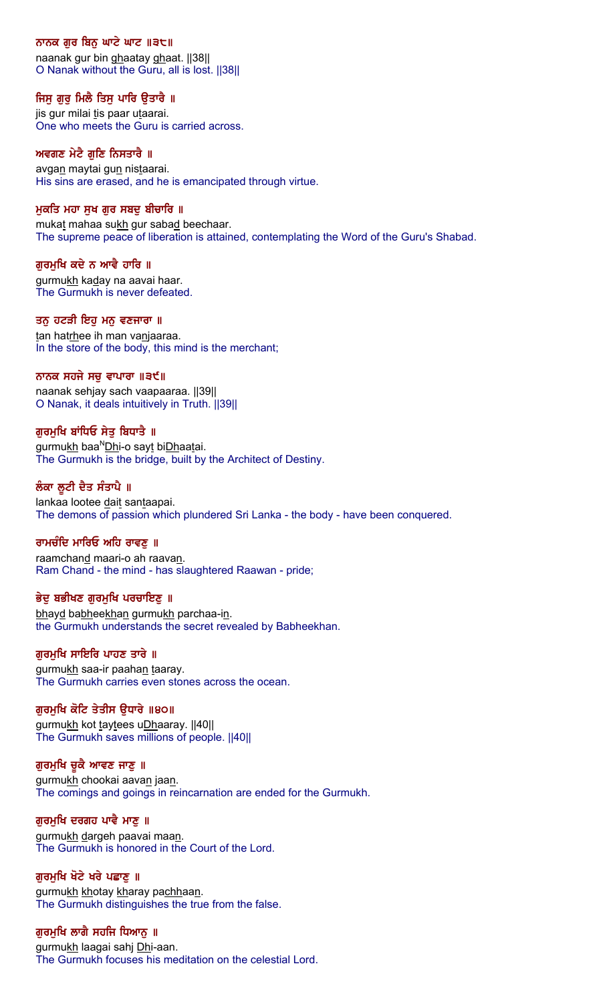## ਨਾਨਕ ਗੁਰ ਬਿਨੂ ਘਾਟੇ ਘਾਟ ॥੩੮॥

naanak gur bin ghaatay ghaat. ||38|| O Nanak without the Guru, all is lost. ||38||

## ਜਿਸੁ ਗੁਰੁ ਮਿਲੈ ਤਿਸੁ ਪਾਰਿ ਉਤਾਰੈ ॥

jis gur milai tis paar utaarai. One who meets the Guru is carried across.

## ਅਵਗਣ ਮੇਟੈ ਗੁਣਿ ਨਿਸਤਾਰੈ ॥

avga<u>n</u> maytai gu<u>n</u> nis<u>t</u>aarai. His sins are erased, and he is emancipated through virtue.

## ਮੁਕਤਿ ਮਹਾ ਸੁਖ ਗੁਰ ਸਬਦੁ ਬੀਚਾਰਿ ॥

mukat mahaa sukh gur sabad beechaar. The supreme peace of liberation is attained, contemplating the Word of the Guru's Shabad.

## ਗੁਰਮੁਖਿ ਕਦੇ ਨ ਆਵੈ ਹਾਰਿ ॥

gurmukh kaday na aavai haar. The Gurmukh is never defeated.

## ਤਨੂ ਹਟੜੀ ਇਹੂ ਮਨੂ ਵਣਜਾਰਾ ॥

tan hatrhee ih man vanjaaraa. In the store of the body, this mind is the merchant;

## ਨਾਨਕ ਸਹਜੇ ਸਚੁ ਵਾਪਾਰਾ ॥੩੯॥

naanak sehjay sach vaapaaraa. ||39|| O Nanak, it deals intuitively in Truth. ||39||

## ਗੁਰਮੁਖਿ ਬਾਂਧਿਓ ਸੇਤੁ ਬਿਧਾਤੈ ॥

gurmukh baa<sup>N</sup>Dhi-o sayt biDhaatai. The Gurmukh is the bridge, built by the Architect of Destiny.

## ਲੰਕਾ ਲੁਟੀ ਦੈਤ ਸੰਤਾਪੈ ॥

lankaa lootee dait santaapai. The demons of passion which plundered Sri Lanka - the body - have been conquered.

## ਰਾਮਚੰਦਿ ਮਾਰਿਓ ਅਹਿ ਰਾਵਣੂ ॥

raamchand maari-o ah raavan. Ram Chand - the mind - has slaughtered Raawan - pride;

#### ਭੇਦੂ ਬਭੀਖਣ ਗੁਰਮੁਖਿ ਪਰਚਾਇਣੂ ॥

bhayd babheekhan gurmukh parchaa-in. the Gurmukh understands the secret revealed by Babheekhan.

#### ਗੁਰਮੁਖਿ ਸਾਇਰਿ ਪਾਹਣ ਤਾਰੇ ॥

gurmukh saa-ir paahan taaray. The Gurmukh carries even stones across the ocean.

## ਗੁਰਮੁਖਿ ਕੋਟਿ ਤੇਤੀਸ ਉਧਾਰੇ ॥੪੦॥

gurmukh kot taytees uDhaaray. [40] The Gurmukh saves millions of people. ||40||

#### ਗੁਰਮੁਖਿ ਚੂਕੈ ਆਵਣ ਜਾਣੁ ॥

gurmukh chookai aavan jaan. The comings and goings in reincarnation are ended for the Gurmukh.

#### ਗੁਰਮੁਖਿ ਦਰਗਹ ਪਾਵੈ ਮਾਣੂ ॥

gurmukh dargeh paavai maan. The Gurmukh is honored in the Court of the Lord.

## ਗੁਰਮੁਖਿ ਖੋਟੇ ਖਰੇ ਪਛਾਣੂ ॥

gurmukh khotay kharay pachhaan. The Gurmukh distinguishes the true from the false.

## ਗੁਰਮੁਖਿ ਲਾਗੈ ਸਹਜਿ ਧਿਆਨੁ ॥

gurmukh laagai sahj Dhi-aan. The Gurmukh focuses his meditation on the celestial Lord.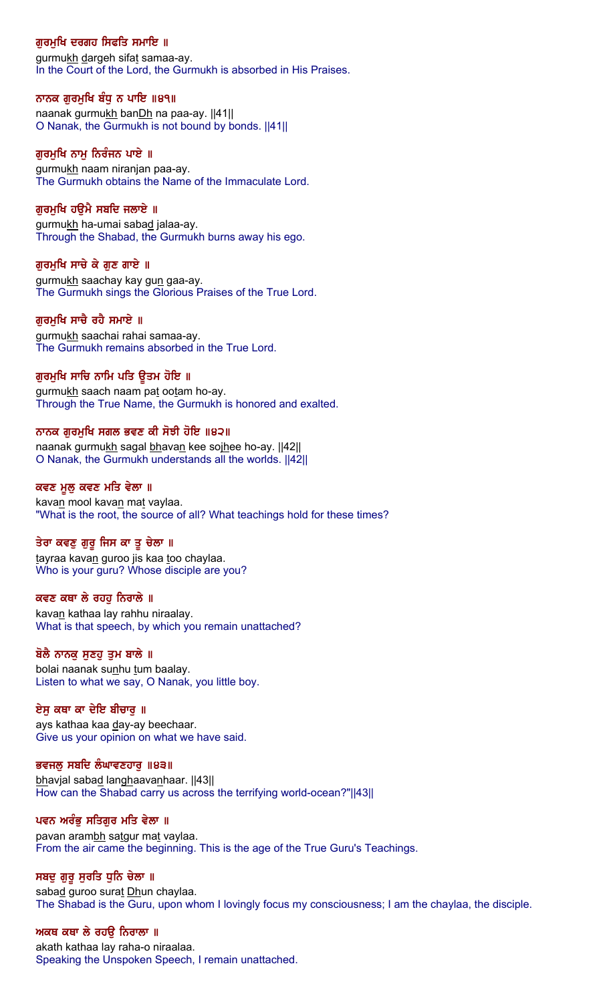# ਗੁਰਮੁਖਿ ਦਰਗਹ ਸਿਫਤਿ ਸਮਾਇ ॥

gurmukh dargeh sifat samaa-ay. In the Court of the Lord, the Gurmukh is absorbed in His Praises.

## ਨਾਨਕ ਗੁਰਮੁਖਿ ਬੰਧੁ ਨ ਪਾਇ ॥੪੧॥

naanak gurmukh banDh na paa-ay. ||41|| O Nanak, the Gurmukh is not bound by bonds. ||41||

#### ਗੁਰਮੁਖਿ ਨਾਮੂ ਨਿਰੰਜਨ ਪਾਏ ॥

gurmukh naam niranjan paa-ay. The Gurmukh obtains the Name of the Immaculate Lord.

## ਗਰਮਖਿ ਹੳਮੈ ਸਬਦਿ ਜਲਾਏ ॥

gurmukh ha-umai sabad jalaa-ay. Through the Shabad, the Gurmukh burns away his ego.

## ਗਰਮਖਿ ਸਾਚੇ ਕੇ ਗਣ ਗਾਏ ॥

gurmukh saachay kay gun gaa-ay. The Gurmukh sings the Glorious Praises of the True Lord.

#### ਗਰਮਖਿ ਸਾਚੈ ਰਹੈ ਸਮਾਏ ॥

gurmukh saachai rahai samaa-ay. The Gurmukh remains absorbed in the True Lord.

## ਗਰਮੁਖਿ ਸਾਚਿ ਨਾਮਿ ਪਤਿ ਉਤਮ ਹੋਇ ॥

gurmukh saach naam pat ootam ho-ay. Through the True Name, the Gurmukh is honored and exalted.

#### ਨਾਨਕ ਗਰਮਖਿ ਸਗਲ ਭਵਣ ਕੀ ਸੋਝੀ ਹੋਇ ॥੪੨॥

naanak gurmukh sagal bhavan kee sojhee ho-ay. [42] O Nanak, the Gurmukh understands all the worlds. ||42||

#### ਕਵਣ ਮਲ ਕਵਣ ਮਤਿ ਵੇਲਾ ॥

kavan mool kavan mat vaylaa. "What is the root, the source of all? What teachings hold for these times?

#### ਤੇਰਾ ਕਵਣੂ ਗੁਰੂ ਜਿਸ ਕਾ ਤੁ ਚੇਲਾ ॥

tayraa kavan guroo jis kaa too chaylaa. Who is your guru? Whose disciple are you?

#### ਕਵਣ ਕਥਾ ਲੇ ਰਹਹ ਨਿਰਾਲੇ ॥

kavan kathaa lay rahhu niraalay. What is that speech, by which you remain unattached?

#### ਬੋਲੈ ਨਾਨਕੂ ਸੁਣਹੁ ਤੁਮ ਬਾਲੇ ॥

bolai naanak sunhu tum baalay. Listen to what we say, O Nanak, you little boy.

#### ਏਸ ਕਥਾ ਕਾ ਦੇਇ ਬੀਚਾਰ ॥

ays kathaa kaa day-ay beechaar. Give us your opinion on what we have said.

#### ਭਵਜਲੂ ਸਬਦਿ ਲੰਘਾਵਣਹਾਰੂ ॥੪੩॥

bhavjal sabad langhaavanhaar. [43] How can the Shabad carry us across the terrifying world-ocean?"||43||

#### ਪਵਨ ਅਰੰਭੂ ਸਤਿਗੁਰ ਮਤਿ ਵੇਲਾ ॥

pavan arambh satgur mat vaylaa. From the air came the beginning. This is the age of the True Guru's Teachings.

#### ਸਬਦੂ ਗੁਰੂ ਸੁਰਤਿ ਧੁਨਿ ਚੇਲਾ ॥

sabad guroo surat Dhun chaylaa. The Shabad is the Guru, upon whom I lovingly focus my consciousness; I am the chaylaa, the disciple.

#### ਅਕਥ ਕਥਾ ਲੇ ਰਹਉ ਨਿਰਾਲਾ ॥

akath kathaa lay raha-o niraalaa. Speaking the Unspoken Speech, I remain unattached.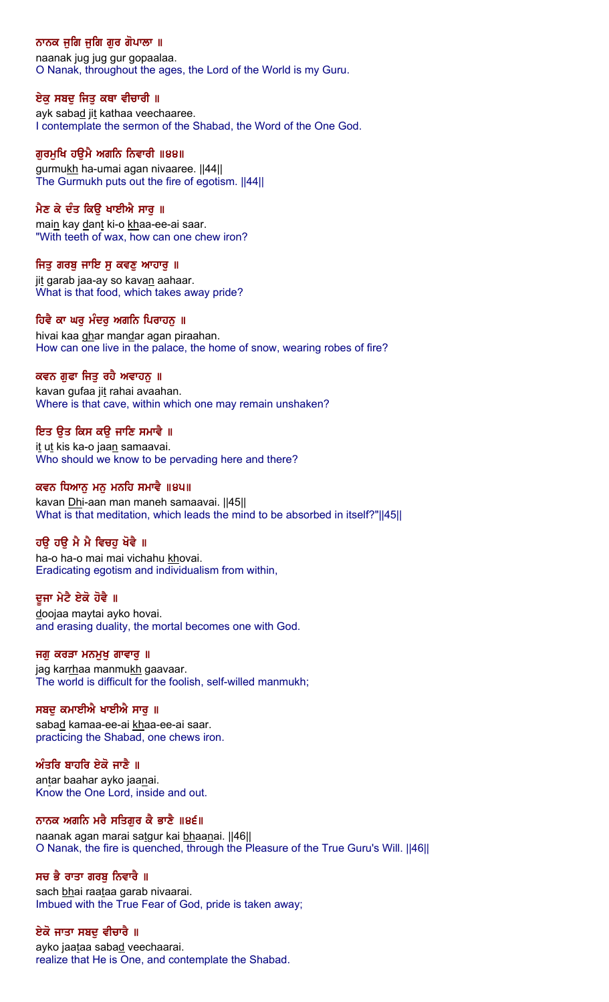# ਨਾਨਕ ਜੁਗਿ ਜੁਗਿ ਗੁਰ ਗੋਪਾਲਾ ॥

naanak jug jug gur gopaalaa. O Nanak, throughout the ages, the Lord of the World is my Guru.

## ਏਕੁ ਸਬਦੁ ਜਿਤੁ ਕਥਾ ਵੀਚਾਰੀ ॥

ayk sabad jit kathaa veechaaree. I contemplate the sermon of the Shabad, the Word of the One God.

## ਗੁਰਮੁਖਿ ਹਉਮੈ ਅਗਨਿ ਨਿਵਾਰੀ ॥੪੪॥

gurmukh ha-umai agan nivaaree. [44] The Gurmukh puts out the fire of egotism. ||44||

# ਮੈਣ ਕੇ ਦੰਤ ਕਿੳ ਖਾਈਐ ਸਾਰ ॥

main kay dant ki-o khaa-ee-ai saar. "With teeth of wax, how can one chew iron?

## ਜਿਤੂ ਗਰਬੂ ਜਾਇ ਸੂ ਕਵਣੂ ਆਹਾਰੂ ॥

jit garab jaa-ay so kavan aahaar. What is that food, which takes away pride?

## ਹਿਵੈ ਕਾ ਘਰ ਮੰਦਰ ਅਗਨਿ ਪਿਰਾਹਨ ॥

hivai kaa ghar mandar agan piraahan. How can one live in the palace, the home of snow, wearing robes of fire?

## ਕਵਨ ਗਫਾ ਜਿਤ ਰਹੈ ਅਵਾਹਨ ॥

kavan gufaa jit rahai avaahan. Where is that cave, within which one may remain unshaken?

## ਇਤ ੳਤ ਕਿਸ ਕੳ ਜਾਣਿ ਸਮਾਵੈ ॥

it ut kis ka-o jaan samaavai. Who should we know to be pervading here and there?

## ਕਵਨ ਧਿਆਨ ਮਨ ਮਨਹਿ ਸਮਾਵੈ ॥੪੫॥

kavan Dhi-aan man maneh samaavai. ||45|| What is that meditation, which leads the mind to be absorbed in itself?"||45||

## ਹਉ ਹਉ ਮੈ ਮੈ ਵਿਚਹੁ ਖੋਵੈ ॥

ha-o ha-o mai mai vichahu khovai. Eradicating egotism and individualism from within,

## ਦੂਜਾ ਮੇਟੈ ਏਕੋ ਹੋਵੈ ॥

doojaa maytai ayko hovai. and erasing duality, the mortal becomes one with God.

#### ਜਗ ਕਰੜਾ ਮਨਮੁਖ ਗਾਵਾਰ ॥

jag karrhaa manmukh gaavaar. The world is difficult for the foolish, self-willed manmukh;

## ਸਬਦ ਕਮਾਈਐ ਖਾਈਐ ਸਾਰ ॥

sabad kamaa-ee-ai khaa-ee-ai saar. practicing the Shabad, one chews iron.

## ਅੰਤਰਿ ਬਾਹਰਿ ਏਕੋ ਜਾਣੈ ॥

antar baahar ayko jaanai. Know the One Lord, inside and out.

#### ਨਾਨਕ ਅਗਨਿ ਮਰੈ ਸਤਿਗਰ ਕੈ ਭਾਣੈ ॥੪੬॥

naanak agan marai satgur kai bhaanai. ||46|| O Nanak, the fire is quenched, through the Pleasure of the True Guru's Will. ||46||

## ਸਚ ਭੈ ਰਾਤਾ ਗਰਬ ਨਿਵਾਰੈ ॥

sach bhai raataa garab nivaarai. Imbued with the True Fear of God, pride is taken away;

## ਏਕੋ ਜਾਤਾ ਸਬਦੁ ਵੀਚਾਰੇ ॥

ayko jaataa sabad veechaarai. realize that He is One, and contemplate the Shabad.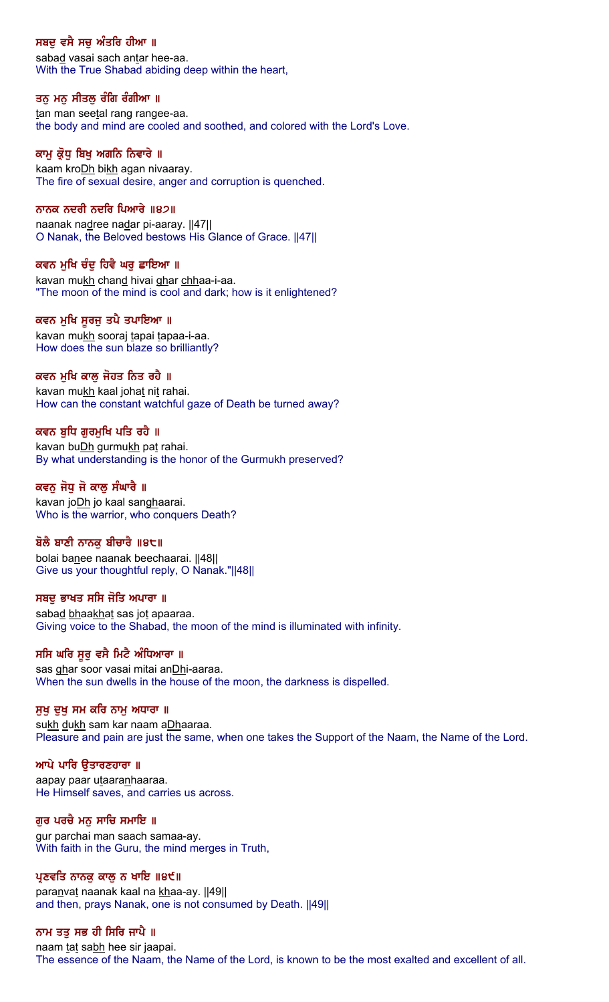## ਸਬਦੂ ਵਸੈ ਸਚੂ ਅੰਤਰਿ ਹੀਆ ॥

sabad vasai sach antar hee-aa. With the True Shabad abiding deep within the heart,

#### ਤਨੁ ਮਨੁ ਸੀਤਲੁ ਰੰਗਿ ਰੰਗੀਆ ॥

tan man seetal rang rangee-aa. the body and mind are cooled and soothed, and colored with the Lord's Love.

#### ਕਾਮੂ ਕ੍ਰੋਧੂ ਬਿਖੂ ਅਗਨਿ ਨਿਵਾਰੇ ॥

kaam kro**Dh** bikh agan nivaaray. The fire of sexual desire, anger and corruption is quenched.

#### ਨਾਨਕ ਨਦਰੀ ਨਦਰਿ ਪਿਆਰੇ ॥੪੭॥

naanak nadree nadar pi-aaray. ||47|| O Nanak, the Beloved bestows His Glance of Grace. ||47||

#### ਕਵਨ ਮਖਿ ਚੰਦ ਹਿਵੈ ਘਰ ਛਾਇਆ ॥

kavan mukh chand hivai ghar chhaa-i-aa. "The moon of the mind is cool and dark; how is it enlightened?

#### ਕਵਨ ਮਖਿ ਸਰਜ ਤਪੈ ਤਪਾਇਆ ॥

kavan mukh sooraj tapai tapaa-i-aa. How does the sun blaze so brilliantly?

#### ਕਵਨ ਮਖਿ ਕਾਲ ਜੋਹਤ ਨਿਤ ਰਹੈ ॥

kavan mukh kaal johat nit rahai. How can the constant watchful gaze of Death be turned away?

#### ਕਵਨ ਬਧਿ ਗਰਮਖਿ ਪਤਿ ਰਹੈ ॥

kavan buDh gurmukh pat rahai. By what understanding is the honor of the Gurmukh preserved?

#### ਕਵਨ ਜੋਧ ਜੋ ਕਾਲ ਸੰਘਾਰੈ ॥

kavan joDh jo kaal sanghaarai. Who is the warrior, who conquers Death?

#### ਬੋਲੈ ਬਾਣੀ ਨਾਨਕੂ ਬੀਚਾਰੈ ॥੪੮॥

bolai banee naanak beechaarai. ||48|| Give us your thoughtful reply, O Nanak."||48||

#### ਸਬਦ ਭਾਖਤ ਸਸਿ ਜੋਤਿ ਅਪਾਰਾ ॥

sabad bhaakhat sas jot apaaraa. Giving voice to the Shabad, the moon of the mind is illuminated with infinity.

#### ਸਸਿ ਘਰਿ ਸੁਰੂ ਵਸੈ ਮਿਟੈ ਅੰਧਿਆਰਾ ॥

sas ghar soor vasai mitai anDhi-aaraa. When the sun dwells in the house of the moon, the darkness is dispelled.

#### ਸੁਖ ਦੁਖ ਸਮ ਕਰਿ ਨਾਮੂ ਅਧਾਰਾ ॥

sukh dukh sam kar naam aDhaaraa. Pleasure and pain are just the same, when one takes the Support of the Naam, the Name of the Lord.

#### ਆਪੇ ਪਾਰਿ ੳਤਾਰਣਹਾਰਾ ॥

aapay paar utaaranhaaraa. He Himself saves, and carries us across.

#### ਗੁਰ ਪਰਚੈ ਮਨੁ ਸਾਚਿ ਸਮਾਇ ॥

gur parchai man saach samaa-ay. With faith in the Guru, the mind merges in Truth,

#### ਪ੍ਰਣਵਤਿ ਨਾਨਕੂ ਕਾਲੂ ਨ ਖਾਇ ॥੪੯॥

paranvat naanak kaal na khaa-ay. ||49|| and then, prays Nanak, one is not consumed by Death. ||49||

#### ਨਾਮ ਤਤੁ ਸਭ ਹੀ ਸਿਰਿ ਜਾਪੈ ॥

naam tat sabh hee sir jaapai. The essence of the Naam, the Name of the Lord, is known to be the most exalted and excellent of all.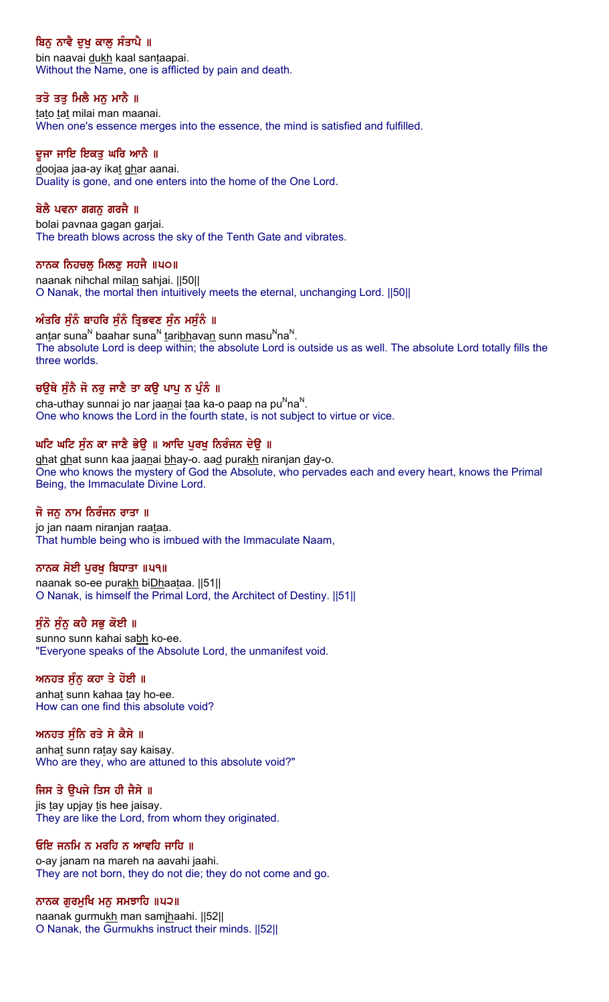# ਬਿਨੂ ਨਾਵੈ ਦੁਖੂ ਕਾਲੂ ਸੰਤਾਪੈ ॥

bin naavai dukh kaal santaapai. Without the Name, one is afflicted by pain and death.

## ਤਤੋ ਤਤੁ ਮਿਲੈ ਮਨੁ ਮਾਨੈ ॥

tato tat milai man maanai. When one's essence merges into the essence, the mind is satisfied and fulfilled.

## ਦੂਜਾ ਜਾਇ ਇਕਤੂ ਘਰਿ ਆਨੈ ॥

doojaa jaa-ay ikat ghar aanai. Duality is gone, and one enters into the home of the One Lord.

## ਬੋਲੈ ਪਵਨਾ ਗਗਨ ਗਰਜੈ ॥

bolai pavnaa gagan garjai. The breath blows across the sky of the Tenth Gate and vibrates.

## ਨਾਨਕ ਨਿਹਚਲੂ ਮਿਲਣੂ ਸਹਜੈ ॥੫੦॥

naanak nihchal milan sahjai. ||50|| O Nanak, the mortal then intuitively meets the eternal, unchanging Lord. ||50||

## ਅੰਤਰਿ ਸੰਨੰ ਬਾਹਰਿ ਸੰਨੰ ਤਿਭਵਣ ਸੰਨ ਮਸੰਨੰ ॥

antar suna<sup>N</sup> baahar suna<sup>N</sup> taribhavan sunn masu<sup>N</sup>na<sup>N</sup>. The absolute Lord is deep within; the absolute Lord is outside us as well. The absolute Lord totally fills the three worlds.

## ਚਉਥੇ ਸੁੰਨੈ ਜੋ ਨਰੂ ਜਾਣੈ ਤਾ ਕਉ ਪਾਪੂ ਨ ਪੁੰਨੰ ॥

cha-uthay sunnai jo nar jaanai taa ka-o paap na pu $Nn$ a $N$ . One who knows the Lord in the fourth state, is not subject to virtue or vice.

## ਘਟਿ ਘਟਿ ਸੁੰਨ ਕਾ ਜਾਣੈ ਭੇਉ ॥ ਆਦਿ ਪੂਰਖੂ ਨਿਰੰਜਨ ਦੇਉ ॥

ghat ghat sunn kaa jaanai bhay-o. aad purakh niranjan day-o. One who knows the mystery of God the Absolute, who pervades each and every heart, knows the Primal Being, the Immaculate Divine Lord.

## ਜੋ ਜਨੂ ਨਾਮ ਨਿਰੰਜਨ ਰਾਤਾ ॥

jo jan naam niranjan raataa. That humble being who is imbued with the Immaculate Naam,

## ਨਾਨਕ ਸੋਈ ਪਰਖ ਬਿਧਾਤਾ ॥ਪ੧॥

naanak so-ee purakh biDhaataa. ||51|| O Nanak, is himself the Primal Lord, the Architect of Destiny. ||51||

## ਸੁੰਨੋ ਸੁੰਨੂ ਕਹੈ ਸਭੂ ਕੋਈ ॥

sunno sunn kahai sabh ko-ee. "Everyone speaks of the Absolute Lord, the unmanifest void.

## ਅਨਹਤ ਸੁੰਨੂ ਕਹਾ ਤੇ ਹੋਈ ॥

anhat sunn kahaa tay ho-ee. How can one find this absolute void?

#### ਅਨਹਤ ਸੰਨਿ ਰਤੇ ਸੇ ਕੈਸੇ ॥

anhat sunn ratay say kaisay. Who are they, who are attuned to this absolute void?"

## ਜਿਸ ਤੇ ਉਪਜੇ ਤਿਸ ਹੀ ਜੈਸੇ ॥

jis tay upjay tis hee jaisay. They are like the Lord, from whom they originated.

#### ਓਇ ਜਨਮਿ ਨ ਮਰਹਿ ਨ ਆਵਹਿ ਜਾਹਿ ॥

o-ay janam na mareh na aavahi jaahi. They are not born, they do not die; they do not come and go.

#### ਨਾਨਕ ਗੁਰਮੁਖਿ ਮਨੁ ਸਮਝਾਹਿ ॥੫੨॥

naanak gurmukh man samjhaahi. ||52|| O Nanak, the Gurmukhs instruct their minds. ||52||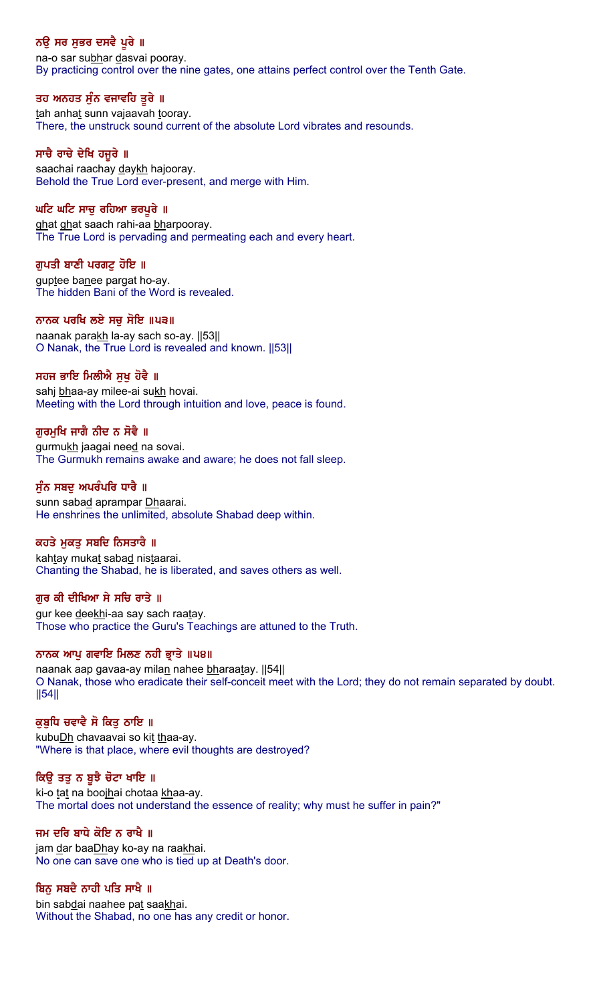# ਨਉ ਸਰ ਸੁਭਰ ਦਸਵੈ ਪੂਰੇ ॥

na-o sar subhar dasvai pooray. By practicing control over the nine gates, one attains perfect control over the Tenth Gate.

## ਤਹ ਅਨਹਤ ਸੁੰਨ ਵਜਾਵਹਿ ਤੁਰੇ ॥

tah anhat sunn vajaavah tooray. There, the unstruck sound current of the absolute Lord vibrates and resounds.

#### ਸਾਚੈ ਰਾਚੇ ਦੇਖਿ ਹਜੁਰੇ ॥

saachai raachay daykh hajooray. Behold the True Lord ever-present, and merge with Him.

#### ਘਟਿ ਘਟਿ ਸਾਚ ਰਹਿਆ ਭਰਪਰੇ ॥

ghat ghat saach rahi-aa bharpooray. The True Lord is pervading and permeating each and every heart.

#### ਗੁਪਤੀ ਬਾਣੀ ਪਰਗਟੁ ਹੋਇ ॥

guptee banee pargat ho-ay. The hidden Bani of the Word is revealed.

#### ਨਾਨਕ ਪਰਖਿ ਲਏ ਸਚ ਸੋਇ ॥੫੩॥

naanak parakh la-ay sach so-ay. ||53|| O Nanak, the True Lord is revealed and known. ||53||

## ਸਹਜ ਭਾਇ ਮਿਲੀਐ ਸਖ ਹੋਵੈ ॥

sahj bhaa-ay milee-ai sukh hovai. Meeting with the Lord through intuition and love, peace is found.

## ਗਰਮਖਿ ਜਾਗੈ ਨੀਦ ਨ ਸੋਵੈ ॥

gurmukh jaagai need na sovai. The Gurmukh remains awake and aware; he does not fall sleep.

#### ਸੰਨ ਸਬਦ ਅਪਰੰਪਰਿ ਧਾਰੈ ॥

sunn sabad aprampar Dhaarai. He enshrines the unlimited, absolute Shabad deep within.

## ਕਹਤੇ ਮੁਕਤੂ ਸਬਦਿ ਨਿਸਤਾਰੈ ॥

kahtay mukat sabad nistaarai. Chanting the Shabad, he is liberated, and saves others as well.

#### ਗਰ ਕੀ ਦੀਖਿਆ ਸੇ ਸਚਿ ਰਾਤੇ ॥

gur kee deekhi-aa say sach raatay. Those who practice the Guru's Teachings are attuned to the Truth.

#### ਨਾਨਕ ਆਪੂ ਗਵਾਇ ਮਿਲਣ ਨਹੀ ਭਾਤੇ ॥੫੪॥

naanak aap gavaa-ay milan nahee bharaatay. [54] O Nanak, those who eradicate their self-conceit meet with the Lord; they do not remain separated by doubt. ||54||

## ਕੁਬੁਧਿ ਚਵਾਵੈ ਸੋ ਕਿਤੁ ਠਾਇ ॥

kubuDh chavaavai so kit thaa-ay. "Where is that place, where evil thoughts are destroyed?

#### ਕਿਉ ਤਤੁ ਨ ਬੁਝੈ ਚੋਟਾ ਖਾਇ ॥

ki-o tat na boojhai chotaa khaa-ay. The mortal does not understand the essence of reality; why must he suffer in pain?"

#### ਜਮ ਦਰਿ ਬਾਧੇ ਕੋਇ ਨ ਰਾਖੈ ॥

jam dar baaDhay ko-ay na raakhai. No one can save one who is tied up at Death's door.

## ਬਿਨ ਸਬਦੈ ਨਾਹੀ ਪਤਿ ਸਾਖੈ ॥

bin sabdai naahee pat saakhai. Without the Shabad, no one has any credit or honor.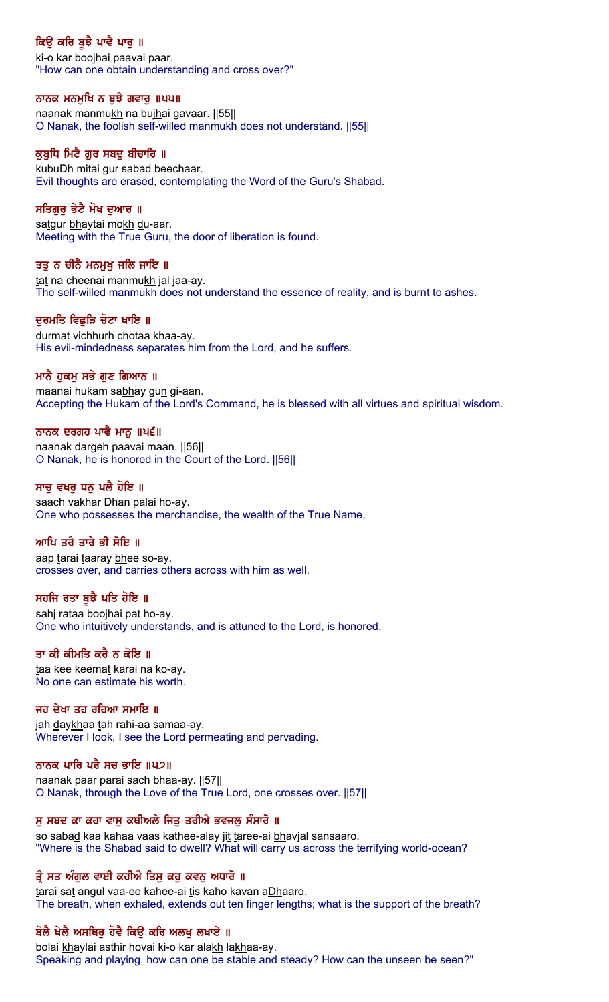# ਕਿਉ ਕਰਿ ਬੁਝੈ ਪਾਵੈ ਪਾਰੂ ॥

ki-o kar boojhai paavai paar. "How can one obtain understanding and cross over?"

## ਨਾਨਕ ਮਨਮੁਖਿ ਨ ਬੁਝੈ ਗਵਾਰੁ ॥੫੫॥

naanak manmukh na bujhai gavaar. ||55|| O Nanak, the foolish self-willed manmukh does not understand. ||55||

## ਕਬਧਿ ਮਿਟੈ ਗਰ ਸਬਦ ਬੀਚਾਰਿ ॥

kubuDh mitai gur sabad beechaar. Evil thoughts are erased, contemplating the Word of the Guru's Shabad.

## ਸਤਿਗਰ ਭੇਟੈ ਮੋਖ ਦਆਰ ॥

satgur bhaytai mokh du-aar. Meeting with the True Guru, the door of liberation is found.

## ਤਤੁ ਨ ਚੀਨੈ ਮਨਮੁਖੁ ਜਲਿ ਜਾਇ ॥

tat na cheenai manmukh jal jaa-ay. The self-willed manmukh does not understand the essence of reality, and is burnt to ashes.

## ਦਰਮਤਿ ਵਿਛੜਿ ਚੋਟਾ ਖਾਇ ॥

durmat vichhurh chotaa khaa-ay. His evil-mindedness separates him from the Lord, and he suffers.

## ਮਾਨੈ ਹਕਮ ਸਭੇ ਗਣ ਗਿਆਨ ।।

maanai hukam sabhay gun gi-aan. Accepting the Hukam of the Lord's Command, he is blessed with all virtues and spiritual wisdom.

## ਨਾਨਕ ਦਰਗਹ ਪਾਵੈ ਮਾਨ ॥ਪ੬॥

naanak dargeh paavai maan. ||56|| O Nanak, he is honored in the Court of the Lord. ||56||

#### ਸਾਚ ਵਖਰ ਧਨ ਪਲੈ ਹੋਇ ॥

saach vakhar Dhan palai ho-ay. One who possesses the merchandise, the wealth of the True Name,

## ਆਪਿ ਤਰੈ ਤਾਰੇ ਭੀ ਸੋਇ ॥

aap tarai taaray bhee so-ay. crosses over, and carries others across with him as well.

#### ਸਹਜਿ ਰਤਾ ਬੁਝੈ ਪਤਿ ਹੋਇ ॥

sahj rataa boojhai pat ho-ay. One who intuitively understands, and is attuned to the Lord, is honored.

#### ਤਾ ਕੀ ਕੀਮਤਿ ਕਰੈ ਨ ਕੋਇ ॥

taa kee keemat karai na ko-ay. No one can estimate his worth.

#### ਜਹ ਦੇਖਾ ਤਹ ਰਹਿਆ ਸਮਾਇ ॥

jah daykhaa tah rahi-aa samaa-ay. Wherever I look, I see the Lord permeating and pervading.

#### ਨਾਨਕ ਪਾਰਿ ਪਰੈ ਸਚ ਭਾਇ ॥੫੭॥

naanak paar parai sach bhaa-ay. [57] O Nanak, through the Love of the True Lord, one crosses over. ||57||

## ਸੂ ਸਬਦ ਕਾ ਕਹਾ ਵਾਸੂ ਕਥੀਅਲੇ ਜਿਤੂ ਤਰੀਐ ਭਵਜਲੂ ਸੰਸਾਰੋ ॥

so sabad kaa kahaa vaas kathee-alay jit taree-ai bhavjal sansaaro. "Where is the Shabad said to dwell? What will carry us across the terrifying world-ocean?

## ਤ੍ਰੈ ਸਤ ਅੰਗੁਲ ਵਾਈ ਕਹੀਐ ਤਿਸੁ ਕਹੁ ਕਵਨੂ ਅਧਾਰੋ ॥

tarai sat angul vaa-ee kahee-ai tis kaho kavan aDhaaro. The breath, when exhaled, extends out ten finger lengths; what is the support of the breath?

## ਬੋਲੈ ਖੇਲੈ ਅਸਥਿਰੂ ਹੋਵੈ ਕਿਉ ਕਰਿ ਅਲਖੂ ਲਖਾਏ ॥

bolai khaylai asthir hovai ki-o kar alakh lakhaa-ay. Speaking and playing, how can one be stable and steady? How can the unseen be seen?"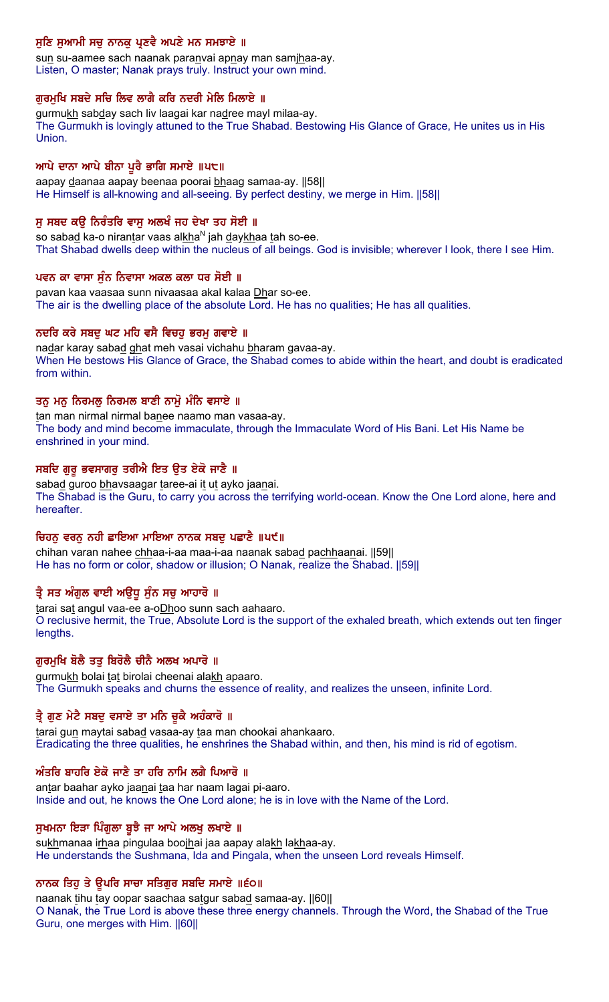# ਸੁਣਿ ਸੁਆਮੀ ਸਚੂ ਨਾਨਕੂ ਪ੍ਰਣਵੈ ਅਪਣੇ ਮਨ ਸਮਝਾਏ ॥

sun su-aamee sach naanak paranvai apnay man samjhaa-ay. Listen, O master; Nanak prays truly. Instruct your own mind.

## ਗਰਮਖਿ ਸਬਦੇ ਸਚਿ ਲਿਵ ਲਾਗੈ ਕਰਿ ਨਦਰੀ ਮੇਲਿ ਮਿਲਾਏ ॥

gurmukh sabday sach liv laagai kar nadree mayl milaa-ay. The Gurmukh is lovingly attuned to the True Shabad. Bestowing His Glance of Grace, He unites us in His Union.

#### ਆਪੇ ਦਾਨਾ ਆਪੇ ਬੀਨਾ ਪੁਰੈ ਭਾਗਿ ਸਮਾਏ ॥੫੮॥

aapay daanaa aapay beenaa poorai bhaag samaa-ay. ||58|| He Himself is all-knowing and all-seeing. By perfect destiny, we merge in Him. [[58]]

## ਸ ਸਬਦ ਕੳ ਨਿਰੰਤਰਿ ਵਾਸ ਅਲਖੰ ਜਹ ਦੇਖਾ ਤਹ ਸੋਈ ॥

so sabad ka-o nirantar vaas alkha $N$  jah daykhaa tah so-ee. That Shabad dwells deep within the nucleus of all beings. God is invisible; wherever I look, there I see Him.

#### ਪਵਨ ਕਾ ਵਾਸਾ ਸੁੰਨ ਨਿਵਾਸਾ ਅਕਲ ਕਲਾ ਧਰ ਸੋਈ ॥

pavan kaa vaasaa sunn nivaasaa akal kalaa Dhar so-ee. The air is the dwelling place of the absolute Lord. He has no qualities; He has all qualities.

## ਨਦਰਿ ਕਰੇ ਸਬਦੂ ਘਟ ਮਹਿ ਵਸੈ ਵਿਚਹੁ ਭਰਮੁ ਗਵਾਏ ॥

nadar karay sabad ghat meh vasai vichahu bharam gavaa-ay. When He bestows His Glance of Grace, the Shabad comes to abide within the heart, and doubt is eradicated from within.

## ਤਨੂ ਮਨੂ ਨਿਰਮਲੂ ਨਿਰਮਲ ਬਾਣੀ ਨਾਮੂ ਮੰਨਿ ਵਸਾਏ ॥

tan man nirmal nirmal banee naamo man vasaa-ay. The body and mind become immaculate, through the Immaculate Word of His Bani. Let His Name be enshrined in your mind.

## ਸਬਦਿ ਗੁਰੂ ਭਵਸਾਗਰੂ ਤਰੀਐ ਇਤ ਉਤ ਏਕੋ ਜਾਣੈ ॥

sabad guroo bhavsaagar taree-ai it ut ayko jaanai. The Shabad is the Guru, to carry you across the terrifying world-ocean. Know the One Lord alone, here and hereafter.

## ਚਿਹਨੂ ਵਰਨੂ ਨਹੀ ਛਾਇਆ ਮਾਇਆ ਨਾਨਕ ਸਬਦੂ ਪਛਾਣੈ ॥ਪ੯॥

chihan varan nahee chhaa-i-aa maa-i-aa naanak sabad pachhaanai. [59] He has no form or color, shadow or illusion; O Nanak, realize the Shabad. ||59||

## ਤ੍ਰੈ ਸਤ ਅੰਗੁਲ ਵਾਈ ਅਉਧੂ ਸੁੰਨ ਸਚੁ ਆਹਾਰੋ ॥

tarai sat angul vaa-ee a-oDhoo sunn sach aahaaro. O reclusive hermit, the True, Absolute Lord is the support of the exhaled breath, which extends out ten finger lengths.

## ਗਰਮਖਿ ਬੋਲੈ ਤਤ ਬਿਰੋਲੈ ਚੀਨੈ ਅਲਖ ਅਪਾਰੋ ॥

gurmukh bolai tat birolai cheenai alakh apaaro. The Gurmukh speaks and churns the essence of reality, and realizes the unseen, infinite Lord.

## ਤ੍ਰੈ ਗੁਣ ਮੇਟੈ ਸਬਦੁ ਵਸਾਏ ਤਾ ਮਨਿ ਚੁਕੈ ਅਹੰਕਾਰੋ ॥

tarai gun maytai sabad vasaa-ay taa man chookai ahankaaro. Eradicating the three qualities, he enshrines the Shabad within, and then, his mind is rid of egotism.

## ਅੰਤਰਿ ਬਾਹਰਿ ਏਕੋ ਜਾਣੈ ਤਾ ਹਰਿ ਨਾਮਿ ਲਗੈ ਪਿਆਰੋ ॥

antar baahar ayko jaanai taa har naam lagai pi-aaro. Inside and out, he knows the One Lord alone; he is in love with the Name of the Lord.

#### ਸੁਖਮਨਾ ਇੜਾ ਪਿੰਗੁਲਾ ਬੁਝੈ ਜਾ ਆਪੇ ਅਲਖੂ ਲਖਾਏ ॥

sukhmanaa irhaa pingulaa boojhai jaa aapay alakh lakhaa-ay. He understands the Sushmana, Ida and Pingala, when the unseen Lord reveals Himself.

## ਨਾਨਕ ਤਿਹੁ ਤੇ ਉਪਰਿ ਸਾਚਾ ਸਤਿਗੁਰ ਸਬਦਿ ਸਮਾਏ ॥੬੦॥

naanak tihu tay oopar saachaa satgur sabad samaa-ay. ||60|| O Nanak, the True Lord is above these three energy channels. Through the Word, the Shabad of the True Guru, one merges with Him. ||60||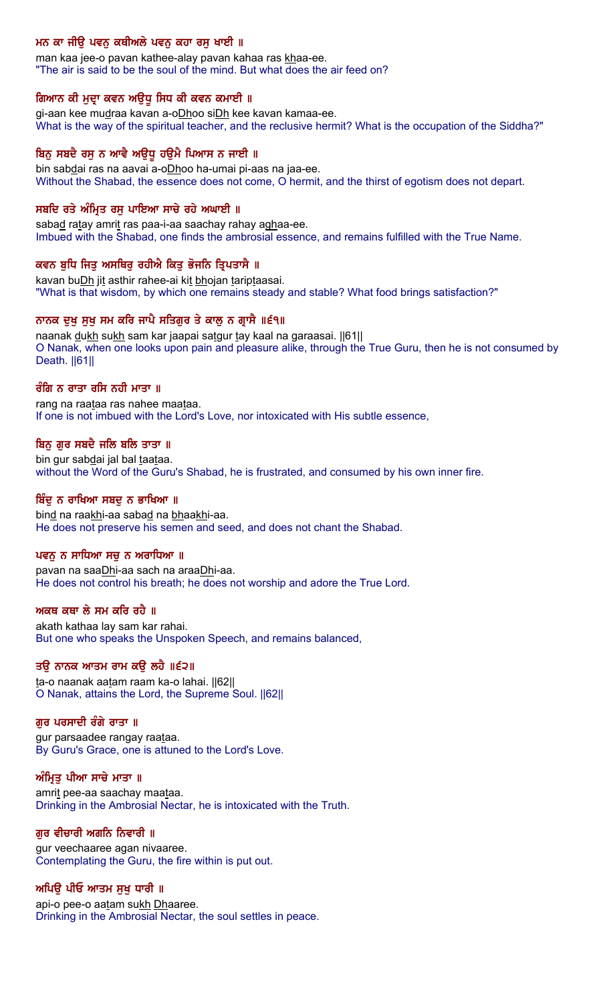# ਮਨ ਕਾ ਜੀਉ ਪਵਨ ਕਥੀਅਲੇ ਪਵਨ ਕਹਾ ਰਸੂ ਖਾਈ ॥

man kaa jee-o pavan kathee-alay pavan kahaa ras khaa-ee. "The air is said to be the soul of the mind. But what does the air feed on?

#### ਗਿਆਨ ਕੀ ਮੁਦ੍ਰਾ ਕਵਨ ਅਉਧੂ ਸਿਧ ਕੀ ਕਵਨ ਕਮਾਈ ॥

gi-aan kee mudraa kavan a-oDhoo siDh kee kavan kamaa-ee. What is the way of the spiritual teacher, and the reclusive hermit? What is the occupation of the Siddha?"

#### ਬਿਨੂ ਸਬਦੈ ਰਸੂ ਨ ਆਵੈ ਅਉਧੂ ਹਉਮੈ ਪਿਆਸ ਨ ਜਾਈ ॥

bin sabdai ras na aavai a-oDhoo ha-umai pi-aas na jaa-ee. Without the Shabad, the essence does not come, O hermit, and the thirst of egotism does not depart.

#### ਸਬਦਿ ਰਤੇ ਅੰਮ੍ਰਿਤ ਰਸ ਪਾਇਆ ਸਾਚੇ ਰਹੇ ਅਘਾਈ ॥

sabad ratay amrit ras paa-i-aa saachay rahay aghaa-ee. Imbued with the Shabad, one finds the ambrosial essence, and remains fulfilled with the True Name.

#### ਕਵਨ ਬੁਧਿ ਜਿਤੁ ਅਸਥਿਰੁ ਰਹੀਐ ਕਿਤੁ ਭੋਜਨਿ ਤ੍ਰਿਪਤਾਸੈ ॥

kavan buDh jit asthir rahee-ai kit bhojan tariptaasai. "What is that wisdom, by which one remains steady and stable? What food brings satisfaction?"

#### ਨਾਨਕ ਦਖ ਸਖ ਸਮ ਕਰਿ ਜਾਪੈ ਸਤਿਗਰ ਤੇ ਕਾਲ ਨ ਗਾਸੈ ॥੬੧॥

naanak dukh sukh sam kar jaapai satgur tay kaal na garaasai. [61] O Nanak, when one looks upon pain and pleasure alike, through the True Guru, then he is not consumed by Death. ||61||

#### ਰੰਗਿ ਨ ਰਾਤਾ ਰਸਿ ਨਹੀ ਮਾਤਾ ॥

rang na raataa ras nahee maataa. If one is not imbued with the Lord's Love, nor intoxicated with His subtle essence,

#### ਬਿਨ ਗਰ ਸਬਦੈ ਜਲਿ ਬਲਿ ਤਾਤਾ ॥

bin gur sabdai jal bal taataa. without the Word of the Guru's Shabad, he is frustrated, and consumed by his own inner fire.

#### ਬਿੰਦ ਨ ਰਾਖਿਆ ਸਬਦ ਨ ਭਾਖਿਆ ॥

bind na raakhi-aa sabad na bhaakhi-aa. He does not preserve his semen and seed, and does not chant the Shabad.

#### ਪਵਨ ਨ ਸਾਧਿਆ ਸਚ ਨ ਅਰਾਧਿਆ ॥

pavan na saaDhi-aa sach na araaDhi-aa. He does not control his breath; he does not worship and adore the True Lord.

#### ਅਕਥ ਕਥਾ ਲੇ ਸਮ ਕਰਿ ਰਹੈ ॥

akath kathaa lay sam kar rahai. But one who speaks the Unspoken Speech, and remains balanced,

#### ਤਉ ਨਾਨਕ ਆਤਮ ਰਾਮ ਕਉ ਲਹੇ ॥੬੨॥

ta-o naanak aatam raam ka-o lahai. ||62|| O Nanak, attains the Lord, the Supreme Soul. ||62||

#### ਗਰ ਪਰਸਾਦੀ ਰੰਗੇ ਰਾਤਾ ॥

gur parsaadee rangay raataa. By Guru's Grace, one is attuned to the Lord's Love.

#### ਅੰਮ੍ਰਿਤੂ ਪੀਆ ਸਾਚੇ ਮਾਤਾ ॥

amrit pee-aa saachay maataa. Drinking in the Ambrosial Nectar, he is intoxicated with the Truth.

#### ਗੁਰ ਵੀਚਾਰੀ ਅਗਨਿ ਨਿਵਾਰੀ ॥

gur veechaaree agan nivaaree. Contemplating the Guru, the fire within is put out.

#### ਅਪਿੳ ਪੀਓ ਆਤਮ ਸਖ ਧਾਰੀ ॥

api-o pee-o aatam sukh Dhaaree. Drinking in the Ambrosial Nectar, the soul settles in peace.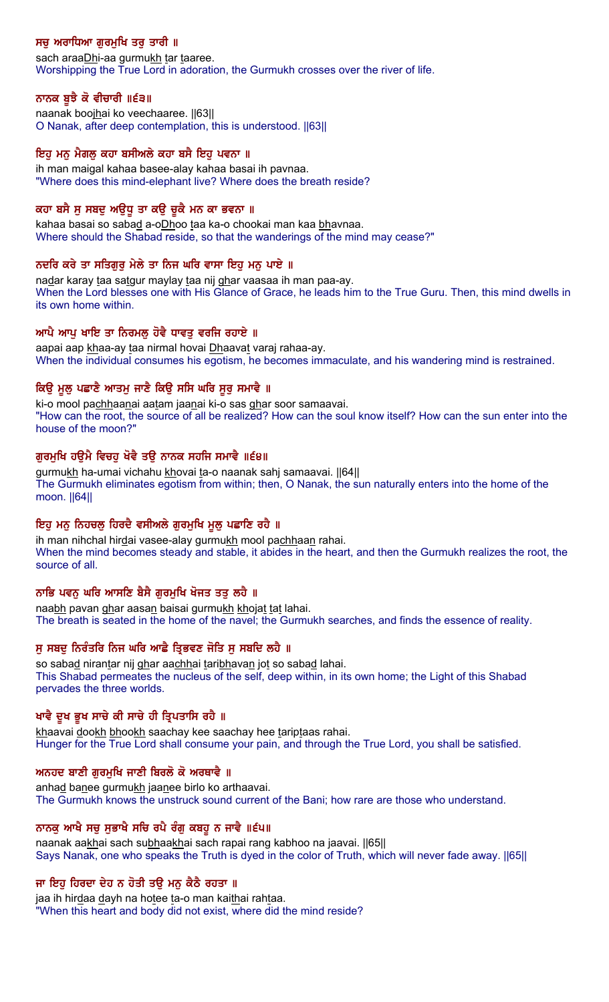# ਸਚੂ ਅਰਾਧਿਆ ਗੁਰਮੁਖਿ ਤਰੂ ਤਾਰੀ ॥

sach araaDhi-aa gurmukh tar taaree. Worshipping the True Lord in adoration, the Gurmukh crosses over the river of life.

## ਨਾਨਕ ਬੁਝੈ ਕੋ ਵੀਚਾਰੀ ॥੬੩॥

naanak boojhai ko veechaaree. ||63|| O Nanak, after deep contemplation, this is understood. ||63||

#### ਇਹ ਮਨ ਮੈਗਲ ਕਹਾ ਬਸੀਅਲੇ ਕਹਾ ਬਸੈ ਇਹ ਪਵਨਾ ॥

ih man maigal kahaa basee-alay kahaa basai ih pavnaa. "Where does this mind-elephant live? Where does the breath reside?

## ਕਹਾ ਬਸੈ ਸੁ ਸਬਦੁ ਅਉਧੂ ਤਾ ਕਉ ਚੁਕੈ ਮਨ ਕਾ ਭਵਨਾ ॥

kahaa basai so sabad a-oDhoo taa ka-o chookai man kaa bhavnaa. Where should the Shabad reside, so that the wanderings of the mind may cease?"

## ਨਦਰਿ ਕਰੇ ਤਾ ਸਤਿਗੁਰੁ ਮੇਲੇ ਤਾ ਨਿਜ ਘਰਿ ਵਾਸਾ ਇਹੁ ਮਨੁ ਪਾਏ ॥

nadar karay taa satgur maylay taa nij ghar vaasaa ih man paa-ay. When the Lord blesses one with His Glance of Grace, he leads him to the True Guru. Then, this mind dwells in its own home within.

## ਆਪੈ ਆਪ ਖਾਇ ਤਾ ਨਿਰਮਲ ਹੋਵੈ ਧਾਵਤ ਵਰਜਿ ਰਹਾਏ ॥

aapai aap khaa-ay taa nirmal hovai Dhaavat varaj rahaa-ay. When the individual consumes his egotism, he becomes immaculate, and his wandering mind is restrained.

## ਕਿਉ ਮੁਲੁ ਪਛਾਣੈ ਆਤਮੁ ਜਾਣੈ ਕਿਉ ਸਸਿ ਘਰਿ ਸੁਰੁ ਸਮਾਵੈ ॥

ki-o mool pachhaanai aatam jaanai ki-o sas ghar soor samaavai. "How can the root, the source of all be realized? How can the soul know itself? How can the sun enter into the house of the moon?"

## ਗੁਰਮੁਖਿ ਹਉਮੈ ਵਿਚਹੁ ਖੋਵੈ ਤਉ ਨਾਨਕ ਸਹਜਿ ਸਮਾਵੈ ॥੬੪॥

gurmukh ha-umai vichahu khovai ta-o naanak sahj samaavai. [64] The Gurmukh eliminates egotism from within; then, O Nanak, the sun naturally enters into the home of the moon. ||64||

## ਇਹ ਮਨੂ ਨਿਹਚਲੂ ਹਿਰਦੈ ਵਸੀਅਲੇ ਗੁਰਮੁਖਿ ਮੂਲੂ ਪਛਾਣਿ ਰਹੈ ॥

ih man nihchal hirdai vasee-alay gurmukh mool pachhaan rahai. When the mind becomes steady and stable, it abides in the heart, and then the Gurmukh realizes the root, the source of all.

## ਨਾਭਿ ਪਵਨੂ ਘਰਿ ਆਸਣਿ ਬੈਸੈ ਗੁਰਮੁਖਿ ਖੋਜਤ ਤਤੂ ਲਹੈ ॥

naabh pavan ghar aasan baisai gurmukh khojat tat lahai. The breath is seated in the home of the navel; the Gurmukh searches, and finds the essence of reality.

## ਸ ਸਬਦ ਨਿਰੰਤਰਿ ਨਿਜ ਘਰਿ ਆਛੈ ਤਿਭਵਣ ਜੋਤਿ ਸ ਸਬਦਿ ਲਹੈ ॥

so sabad nirantar nij ghar aachhai taribhavan jot so sabad lahai. This Shabad permeates the nucleus of the self, deep within, in its own home; the Light of this Shabad pervades the three worlds.

#### ਖਾਵੈ ਦੁਖ ਭੁਖ ਸਾਚੇ ਕੀ ਸਾਚੇ ਹੀ ਤ੍ਰਿਪਤਾਸਿ ਰਹੈ ॥

khaavai dookh bhookh saachay kee saachay hee tariptaas rahai. Hunger for the True Lord shall consume your pain, and through the True Lord, you shall be satisfied.

## ਅਨਹਦ ਬਾਣੀ ਗੁਰਮੁਖਿ ਜਾਣੀ ਬਿਰਲੋ ਕੋ ਅਰਥਾਵੈ ॥

anhad banee gurmukh jaanee birlo ko arthaavai. The Gurmukh knows the unstruck sound current of the Bani; how rare are those who understand.

## ਨਾਨਕ ਆਖੈ ਸਚ ਸਭਾਖੈ ਸਚਿ ਰਪੈ ਰੰਗ ਕਬਹੁ ਨ ਜਾਵੈ ॥੬੫॥

naanak aakhai sach subhaakhai sach rapai rang kabhoo na jaavai. [65] Says Nanak, one who speaks the Truth is dyed in the color of Truth, which will never fade away. ||65||

## ਜਾ ਇਹੁ ਹਿਰਦਾ ਦੇਹ ਨ ਹੋਤੀ ਤਉ ਮਨੁ ਕੈਠੈ ਰਹਤਾ ॥

jaa ih hirdaa dayh na hotee ta-o man kaithai rahtaa. "When this heart and body did not exist, where did the mind reside?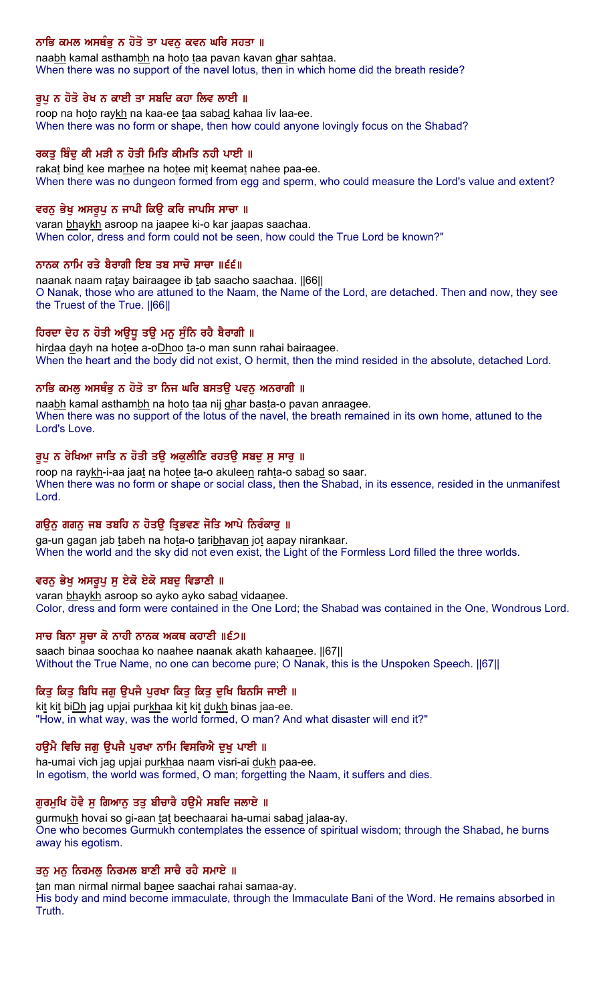# ਨਾਭਿ ਕਮਲ ਅਸਥੰਭੂ ਨ ਹੋਤੋ ਤਾ ਪਵਨੂ ਕਵਨ ਘਰਿ ਸਹਤਾ ॥

naabh kamal asthambh na hoto taa pavan kavan ghar sahtaa. When there was no support of the navel lotus, then in which home did the breath reside?

#### ਰੂਪ ਨ ਹੋਤੋ ਰੇਖ ਨ ਕਾਈ ਤਾ ਸਬਦਿ ਕਹਾ ਲਿਵ ਲਾਈ ॥

roop na hoto raykh na kaa-ee taa sabad kahaa liv laa-ee. When there was no form or shape, then how could anyone lovingly focus on the Shabad?

#### ਰਕਤ ਬਿੰਦ ਕੀ ਮੜੀ ਨ ਹੋਤੀ ਮਿਤਿ ਕੀਮਤਿ ਨਹੀ ਪਾਈ ॥

rakat bind kee marhee na hotee mit keemat nahee paa-ee. When there was no dungeon formed from egg and sperm, who could measure the Lord's value and extent?

#### ਵਰਨ ਭੇਖ ਅਸਰਪ ਨ ਜਾਪੀ ਕਿੳ ਕਰਿ ਜਾਪਸਿ ਸਾਚਾ ॥

varan bhaykh asroop na jaapee ki-o kar jaapas saachaa. When color, dress and form could not be seen, how could the True Lord be known?"

#### ਨਾਨਕ ਨਾਮਿ ਰਤੇ ਬੈਰਾਗੀ ਇਬ ਤਬ ਸਾਚੋ ਸਾਚਾ ॥੬੬॥

naanak naam ratay bairaagee ib tab saacho saachaa. [66] O Nanak, those who are attuned to the Naam, the Name of the Lord, are detached. Then and now, they see the Truest of the True. ||66||

## ਹਿਰਦਾ ਦੇਹ ਨ ਹੋਤੀ ਅਉਧੂ ਤਉ ਮਨੁ ਸੁੰਨਿ ਰਹੈ ਬੈਰਾਗੀ ॥

hirdaa dayh na hotee a-oDhoo ta-o man sunn rahai bairaagee. When the heart and the body did not exist, O hermit, then the mind resided in the absolute, detached Lord.

## ਨਾਭਿ ਕਮਲੁ ਅਸਥੰਭੁ ਨ ਹੋਤੋ ਤਾ ਨਿਜ ਘਰਿ ਬਸਤਉ ਪਵਨੁ ਅਨਰਾਗੀ ॥

naabh kamal asthambh na hoto taa nij ghar basta-o pavan anraagee. When there was no support of the lotus of the navel, the breath remained in its own home, attuned to the Lord's Love.

#### ਰੂਪੂ ਨ ਰੇਖਿਆ ਜਾਤਿ ਨ ਹੋਤੀ ਤਉ ਅਕੁਲੀਣਿ ਰਹਤਉ ਸਬਦੂ ਸੂ ਸਾਰੂ ॥

roop na raykh-i-aa jaat na hotee ta-o akuleen rahta-o sabad so saar. When there was no form or shape or social class, then the Shabad, in its essence, resided in the unmanifest Lord.

#### ਗੳਨ ਗਗਨ ਜਬ ਤਬਹਿ ਨ ਹੋਤੳ ਤਿਭਵਣ ਜੋਤਿ ਆਪੇ ਨਿਰੰਕਾਰ ॥

ga-un gagan jab tabeh na hota-o taribhavan jot aapay nirankaar. When the world and the sky did not even exist, the Light of the Formless Lord filled the three worlds.

#### ਵਰਨੂ ਭੇਖੂ ਅਸਰੂਪੂ ਸੂ ਏਕੋ ਏਕੋ ਸਬਦੂ ਵਿਡਾਣੀ ॥

varan bhaykh asroop so ayko ayko sabad vidaanee. Color, dress and form were contained in the One Lord; the Shabad was contained in the One, Wondrous Lord.

#### ਸਾਚ ਬਿਨਾ ਸੂਚਾ ਕੋ ਨਾਹੀ ਨਾਨਕ ਅਕਥ ਕਹਾਣੀ ॥੬੭॥

saach binaa soochaa ko naahee naanak akath kahaanee. ||67|| Without the True Name, no one can become pure; O Nanak, this is the Unspoken Speech. ||67||

#### ਕਿਤ ਕਿਤ ਬਿਧਿ ਜਗ ੳਪਜੈ ਪਰਖਾ ਕਿਤ ਕਿਤ ਦਖਿ ਬਿਨਸਿ ਜਾਈ ॥

kit kit biDh jag upjai purkhaa kit kit dukh binas jaa-ee. "How, in what way, was the world formed, O man? And what disaster will end it?"

#### ਹਉਮੈ ਵਿਚਿ ਜਗੂ ਉਪਜੈ ਪੁਰਖਾ ਨਾਮਿ ਵਿਸਰਿਐ ਦੁਖੁ ਪਾਈ ॥

ha-umai vich jag upjai purkhaa naam visri-ai dukh paa-ee. In egotism, the world was formed, O man; forgetting the Naam, it suffers and dies.

#### ਗੁਰਮੁਖਿ ਹੋਵੈ ਸੁ ਗਿਆਨੂ ਤਤੂ ਬੀਚਾਰੈ ਹਉਮੈ ਸਬਦਿ ਜਲਾਏ ॥

gurmukh hovai so gi-aan tat beechaarai ha-umai sabad jalaa-ay. One who becomes Gurmukh contemplates the essence of spiritual wisdom; through the Shabad, he burns away his egotism.

#### ਤਨੁ ਮਨੁ ਨਿਰਮਲੁ ਨਿਰਮਲ ਬਾਣੀ ਸਾਚੈ ਰਹੈ ਸਮਾਏ ॥

tan man nirmal nirmal banee saachai rahai samaa-ay. His body and mind become immaculate, through the Immaculate Bani of the Word. He remains absorbed in Truth.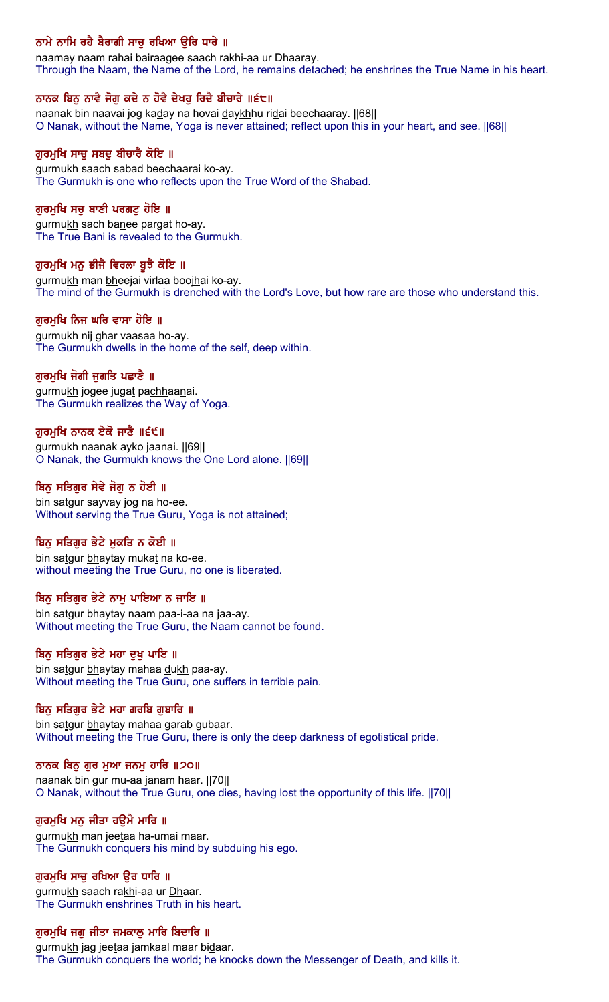# ਨਾਮੇ ਨਾਮਿ ਰਹੈ ਬੈਰਾਗੀ ਸਾਚੂ ਰਖਿਆ ਉਰਿ ਧਾਰੇ ॥

naamay naam rahai bairaagee saach rakhi-aa ur Dhaaray. Through the Naam, the Name of the Lord, he remains detached; he enshrines the True Name in his heart.

## ਨਾਨਕ ਬਿਨੂ ਨਾਵੈ ਜੋਗੂ ਕਦੇ ਨ ਹੋਵੈ ਦੇਖਹੂ ਰਿਦੈ ਬੀਚਾਰੇ ॥੬੮॥

naanak bin naavai jog kaday na hovai daykhhu ridai beechaaray. [68] O Nanak, without the Name, Yoga is never attained; reflect upon this in your heart, and see. ||68||

#### ਗੁਰਮੁਖਿ ਸਾਚੁ ਸਬਦੁ ਬੀਚਾਰੈ ਕੋਇ ॥

gurmukh saach sabad beechaarai ko-ay. The Gurmukh is one who reflects upon the True Word of the Shabad.

## ਗਰਮਖਿ ਸਚ ਬਾਣੀ ਪਰਗਟ ਹੋਇ ॥

gurmukh sach banee pargat ho-ay. The True Bani is revealed to the Gurmukh.

## ਗੁਰਮੁਖਿ ਮਨੁ ਭੀਜੈ ਵਿਰਲਾ ਬੁਝੈ ਕੋਇ ॥

gurmukh man bheejai virlaa boojhai ko-ay. The mind of the Gurmukh is drenched with the Lord's Love, but how rare are those who understand this.

#### ਗਰਮਖਿ ਨਿਜ ਘਰਿ ਵਾਸਾ ਹੋਇ ॥

gurmukh nij ghar vaasaa ho-ay. The Gurmukh dwells in the home of the self, deep within.

## ਗਰਮਖਿ ਜੋਗੀ ਜਗਤਿ ਪਛਾਣੈ ॥

gurmukh jogee jugat pachhaanai. The Gurmukh realizes the Way of Yoga.

## ਗੁਰਮੁਖਿ ਨਾਨਕ ਏਕੋ ਜਾਣੈ ॥੬੯॥

gurmukh naanak ayko jaanai. ||69|| O Nanak, the Gurmukh knows the One Lord alone. ||69||

## ਬਿਨ ਸਤਿਗਰ ਸੇਵੇ ਜੋਗ ਨ ਹੋਈ ॥

bin satgur sayvay jog na ho-ee. Without serving the True Guru, Yoga is not attained;

## ਬਿਨੂ ਸਤਿਗੁਰ ਭੇਟੇ ਮੁਕਤਿ ਨ ਕੋਈ ॥

bin satgur bhaytay mukat na ko-ee. without meeting the True Guru, no one is liberated.

#### ਬਿਨ ਸਤਿਗਰ ਭੇਟੇ ਨਾਮ ਪਾਇਆ ਨ ਜਾਇ ॥

bin satgur bhaytay naam paa-i-aa na jaa-ay. Without meeting the True Guru, the Naam cannot be found.

#### ਬਿਨੂ ਸਤਿਗੁਰ ਭੇਟੇ ਮਹਾ ਦੁਖ ਪਾਇ ॥

bin satgur bhaytay mahaa dukh paa-ay. Without meeting the True Guru, one suffers in terrible pain.

## ਬਿਨ ਸਤਿਗਰ ਭੇਟੇ ਮਹਾ ਗਰਬਿ ਗਬਾਰਿ ॥

bin satgur bhaytay mahaa garab gubaar. Without meeting the True Guru, there is only the deep darkness of egotistical pride.

#### ਨਾਨਕ ਬਿਨੁ ਗੁਰ ਮੁਆ ਜਨਮੁ ਹਾਰਿ ॥੭੦॥

naanak bin gur mu-aa janam haar. ||70|| O Nanak, without the True Guru, one dies, having lost the opportunity of this life. ||70||

#### ਗੁਰਮੁਖਿ ਮਨੁ ਜੀਤਾ ਹਉਮੈ ਮਾਰਿ ॥

gurmukh man jeetaa ha-umai maar. The Gurmukh conquers his mind by subduing his ego.

#### ਗੁਰਮੁਖਿ ਸਾਚੁ ਰਖਿਆ ਉਰ ਧਾਰਿ ॥

gurmukh saach rakhi-aa ur Dhaar. The Gurmukh enshrines Truth in his heart.

### ਗੁਰਮੁਖਿ ਜਗੁ ਜੀਤਾ ਜਮਕਾਲੁ ਮਾਰਿ ਬਿਦਾਰਿ ॥

gurmukh jag jeetaa jamkaal maar bidaar. The Gurmukh conquers the world; he knocks down the Messenger of Death, and kills it.